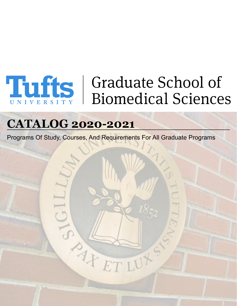

# **Third School of Biomedical Sciences**

# **CATALOG 2020-2021**

Programs Of Study, Courses, And Requirements For All Graduate Programs

AFF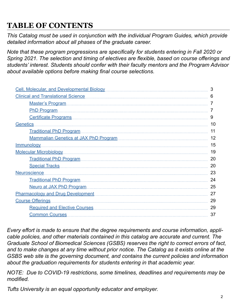# **TABLE OF CONTENTS**

*This Catalog must be used in conjunction with the individual Program Guides, which provide detailed information about all phases of the graduate career.*

*Note that these program progressions are specifically for students entering in Fall 2020 or Spring 2021. The selection and timing of electives are flexible, based on course offerings and students' interest. Students should confer with their faculty mentors and the Program Advisor about available options before making final course selections.*

| Cell, Molecular, and Developmental Biology | 3  |
|--------------------------------------------|----|
|                                            | 6  |
|                                            |    |
|                                            |    |
| Certificate Programs                       | 9  |
| Genetics                                   | 10 |
|                                            | 11 |
|                                            | 12 |
| <u>Immunology</u>                          | 15 |
|                                            | 19 |
| Traditional PhD Program                    | 20 |
| Special Tracks                             | 20 |
|                                            | 23 |
|                                            | 24 |
|                                            | 25 |
|                                            | 27 |
|                                            | 29 |
|                                            | 29 |
| Common Courses                             | 37 |
|                                            |    |

*Every effort is made to ensure that the degree requirements and course information, applicable policies, and other materials contained in this catalog are accurate and current. The Graduate School of Biomedical Sciences (GSBS) reserves the right to correct errors of fact, and to make changes at any time without prior notice. The Catalog as it exists online at the GSBS web site is the governing document, and contains the current policies and information about the graduation requirements for students entering in that academic year.*

*NOTE: Due to COVID-19 restrictions, some timelines, deadlines and requirements may be modified.*

*Tufts University is an equal opportunity educator and employer.*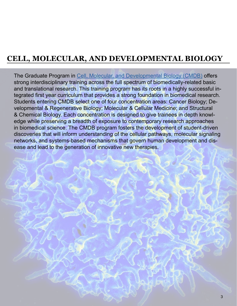# <span id="page-2-0"></span>**CELL, MOLECULAR, AND DEVELOPMENTAL BIOLOGY**

The Graduate Program in [Cell, Molecular, and Developmental Biology \(CMDB\)](https://gsbs.tufts.edu/academics/CMDB) offers strong interdisciplinary training across the full spectrum of biomedically-related basic and translational research. This training program has its roots in a highly successful integrated first year curriculum that provides a strong foundation in biomedical research. Students entering CMDB select one of four concentration areas: Cancer Biology; Developmental & Regenerative Biology; Molecular & Cellular Medicine; and Structural & Chemical Biology. Each concentration is designed to give trainees in depth knowledge while preserving a breadth of exposure to contemporary research approaches in biomedical science. The CMDB program fosters the development of student-driven discoveries that will inform understanding of the cellular pathways, molecular signaling networks, and systems-based mechanisms that govern human development and disease and lead to the generation of innovative new therapies.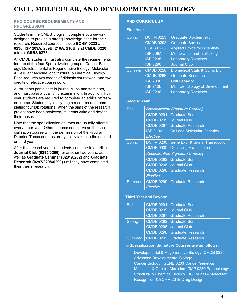## **CELL, MOLECULAR, AND DEVELOPMENTAL BIOLOGY**

#### **PHD COURSE REQUIREMENTS AND PROGRESSION**

Students in the CMDB program complete coursework designed to provide a strong knowledge base for their research. Required courses include **BCHM 0223** and **0230**; I**SP 209A, 209B, 210A, 210B**; and **CMDB 0220** (stats); **GSBS 0275**.

All CMDB students must also complete the requirements for one of the four Specialization groups: Cancer Biology; Developmental & Regenerative Biology; Molecular & Cellular Medicine; or Structural & Chemical Biology. Each requires two credits of didactic coursework and two credits of elective coursework.

All students participate in journal clubs and seminars, and must pass a qualifying examination. In addition, fifth year students are required to complete an ethics refresher course. Students typically begin research after completing four lab rotations. When the aims of the research project have been achieved, students write and defend their theses.

Note that the specialization courses are usually offered every other year. Other courses can serve as the specialization course with the permission of the Program Director. These courses are typically taken in the second or third year.

After the second year, all students continue to enroll in **Journal Club (0295/0296)** for another two years, as well as **Graduate Seminar (0291/0292)** and **Graduate Research (0297/0298/0299)** until they have completed their thesis research.

#### **PHD CURRICULUM**

| <b>First Year</b>  |                                                                                                                   |                                                                                                                                                                                                                      |
|--------------------|-------------------------------------------------------------------------------------------------------------------|----------------------------------------------------------------------------------------------------------------------------------------------------------------------------------------------------------------------|
| Spring             | <b>BCHM 0223</b><br><b>CMDB 0292</b><br><b>GSBS 0275</b><br><b>ISP 209A</b><br><b>ISP 0235</b><br><b>ISP 0296</b> | <b>Graduate Biochemistry</b><br><b>Graduate Seminar</b><br><b>Applied Ethics for Scientists</b><br><b>Membranes and Trafficking</b><br><b>Laboratory Rotations</b><br><b>Journal Club</b>                            |
| <b>Summer</b>      | <b>CMDB 0220</b><br><b>CMDB 0299</b><br><b>ISP 209B</b><br><b>ISP 210B</b><br><b>ISP 0236</b>                     | <b>Biomedical Stats &amp; Comp Bio</b><br><b>Graduate Research</b><br><b>Cell Behavior</b><br>Mol. Cell Biology of Development<br><b>Laboratory Rotations</b>                                                        |
| <b>Second Year</b> |                                                                                                                   |                                                                                                                                                                                                                      |
| Fall               | <b>ISP 210A</b><br>Elective                                                                                       | Specialization Signature Course§<br><b>CMDB 0291 Graduate Seminar</b><br>CMDB 0295 Journal Club<br><b>CMDB 0297 Graduate Research</b><br><b>Cell and Molecular Genetics</b>                                          |
| <b>Spring</b>      | <b>BCHM 0230</b><br><b>CMDB 0000</b><br>Elective                                                                  | <b>Gene Expr &amp; Signal Transduction</b><br><b>Qualifying Examination</b><br>Specialization Signature Course§<br><b>CMDB 0292 Graduate Seminar</b><br>CMDB 0296 Journal Club<br><b>CMDB 0298 Graduate Research</b> |
| Summer             | Elective                                                                                                          | CMDB 0299 Graduate Research                                                                                                                                                                                          |
| Fall               | <b>Third Year and Beyond</b><br><b>CMDB 0291</b>                                                                  | <b>Graduate Seminar</b>                                                                                                                                                                                              |

| Fall          | CMDB 0291 Graduate Seminar         |
|---------------|------------------------------------|
|               | CMDB 0295 Journal Club             |
|               | <b>CMDB 0297 Graduate Research</b> |
| <b>Spring</b> | <b>CMDB 0292 Graduate Seminar</b>  |
|               | CMDB 0296 Journal Club             |
|               | <b>CMDB 0298 Graduate Research</b> |
| Summer        | CMDB 0299 Graduate Research        |

#### **§ Specialization Signature Courses are as follows:**

Developmental & Regenerative Biology: CMDB 0235 Advanced Developmental Biology Cancer Biology: GENE 0203 Cancer Genetics Molecular & Cellular Medicine: CMP 0230 Pathobiology Structural & Chemical Biology: BCHM 231A Molecular Recognition & BCHM 231B Drug Design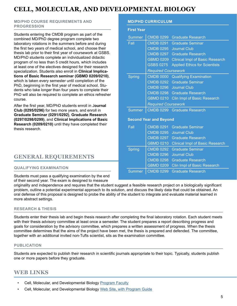# **CELL, MOLECULAR, AND DEVELOPMENTAL BIOLOGY**

#### **MD/PHD COURSE REQUIREMENTS AND PROGRESSION**

Students entering the CMDB program as part of the combined MD/PhD degree program complete two laboratory rotations in the summers before and during the first two years of medical school, and choose their thesis lab prior to their first year of coursework at GSBS. MD/PhD students complete an individualized didactic program of no less than 5 credit hours, which includes at least one of the electives designed for their research specialization. Students also enroll in **Clinical Implications of Basic Research seminar (GBMD 0209/0210)**, which is taken every semester until completion of the PhD, beginning in the first year of medical school. Students who take longer than four years to complete their PhD will also be required to complete an ethics refresher course.

After the first year, MD/PhD students enroll in J**ournal Club (0295/0296)** for two more years, and enroll in **Graduate Seminar (0291/0292)**, **Graduate Research (0297/0298/0299)**, and **Clinical Implications of Basic Research (0209/0210)** until they have completed their thesis research.

## **GENERAL REQUIREMENTS**

#### **QUALIFYING EXAMINATION**

Students must pass a qualifying examination by the end of their second year. The exam is designed to measure

originality and independence and requires that the student suggest a feasible research project on a biologically significant problem, outline a potential experimental approach to its solution, and discuss the likely data that could be obtained. An oral defense of this proposal is designed to probe the ability of the student to integrate and evaluate material learned in more abstract settings.

#### **RESEARCH & THESIS**

Students enter their thesis lab and begin thesis research after completing the final laboratory rotation. Each student meets with their thesis advisory committee at least once a semester. The student prepares a report describing progress and goals for consideration by the advisory committee, which prepares a written assessment of progress. When the thesis committee determines that the aims of the project have been met, the thesis is prepared and defended. The committee, together with an additional invited non-Tufts scientist, sits as the examination committee.

#### **PUBLICATION**

Students are expected to publish their research in scientific journals appropriate to their topic. Typically, students publish one or more papers before they graduate.

## **WEB LINKS**

- Cell, Molecular, and Developmental Biology [Program Faculty](https://gsbs.tufts.edu/academics/CMDB/faculty)
- Cell, Molecular, and Developmental Biology [Web Site, with Program Guide](https://gsbs.tufts.edu/academics/CMDB)

#### **MD/PHD CURRICULUM**

| <b>First Year</b> |                               |                                        |
|-------------------|-------------------------------|----------------------------------------|
| <b>Summer</b>     | <b>CMDB 0299</b>              | <b>Graduate Research</b>               |
| Fall              | <b>CMDB 0291</b>              | <b>Graduate Seminar</b>                |
|                   | <b>CMDB 0295</b>              | <b>Journal Club</b>                    |
|                   | <b>CMDB 0297</b>              | <b>Graduate Research</b>               |
|                   | <b>GBMD 0209</b>              | <b>Clinical Impl of Basic Research</b> |
|                   | <b>GSBS 0275</b>              | <b>Applied Ethics for Scientists</b>   |
|                   | <b>Required Coursework</b>    |                                        |
| <b>Spring</b>     | <b>CMDB 0000</b>              | <b>Qualifying Examination</b>          |
|                   | <b>CMDB 0292</b>              | <b>Graduate Seminar</b>                |
|                   | <b>CMDB 0296</b>              | <b>Journal Club</b>                    |
|                   | <b>CMDB 0298</b>              | <b>Graduate Research</b>               |
|                   | <b>GBMD 0210</b>              | <b>Clin Impl of Basic Research</b>     |
|                   | <b>Required Coursework</b>    |                                        |
| <b>Summer</b>     |                               | CMDB 0299 Graduate Research            |
|                   | <b>Second Year and Beyond</b> |                                        |
| Fall              | <b>CMDB 0291</b>              | <b>Graduate Seminar</b>                |
|                   | <b>CMDB 0295</b>              | <b>Journal Club</b>                    |
|                   | <b>CMDB 0297</b>              | <b>Graduate Research</b>               |
|                   | <b>GBMD 0210</b>              | <b>Clinical Impl of Basic Research</b> |
| <b>Spring</b>     | <b>CMDB 0292</b>              | <b>Graduate Seminar</b>                |
|                   | <b>CMDB 0296</b>              | <b>Journal Club</b>                    |
|                   | <b>CMDB 0298</b>              | <b>Graduate Research</b>               |
|                   | <b>GBMD 0209</b>              | Clin Impl of Basic Research            |
| Summer            | <b>CMDB 0299</b>              | <b>Graduate Research</b>               |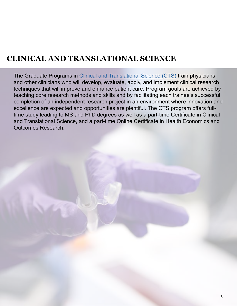<span id="page-5-0"></span>The Graduate Programs in [Clinical and Translational Science \(CTS\)](https://gsbs.tufts.edu/academics/CTS) train physicians and other clinicians who will develop, evaluate, apply, and implement clinical research techniques that will improve and enhance patient care. Program goals are achieved by teaching core research methods and skills and by facilitating each trainee's successful completion of an independent research project in an environment where innovation and excellence are expected and opportunities are plentiful. The CTS program offers fulltime study leading to MS and PhD degrees as well as a part-time Certificate in Clinical and Translational Science, and a part-time Online Certificate in Health Economics and Outcomes Research.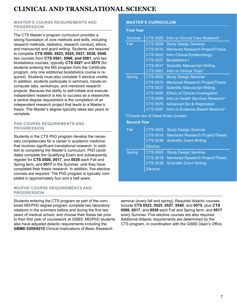#### <span id="page-6-0"></span>**MASTER'S COURSE REQUIREMENTS AND PROGRESSION**

The CTS Master's program curriculum provides a strong foundation of core methods and skills, including research methods, statistics, research conduct, ethics, and manuscript and grant writing. Students are required to complete **CTS 0500, 0523, 0525, 0537, 0538, 0540**; two courses from **CTS 0561, 0566, and 0581**; and two biostatistics courses, typically **CTS 0527** and **0575** (for students entering the MS program from the Certificate program, only one additional biostatistics course is required). Students must also complete 5 elective credits. In addition, students participate in seminars, hands-on computer labs, workshops, and mentored research projects. Because the ability to self-initiate and execute independent research is key to success as a researcher, a central degree requirement is the completion of an independent research project that leads to a Master's thesis. The Master's degree typically takes two years to complete.

#### **PHD COURSE REQUIREMENTS AND PROGRESSION**

Students in the CTS PhD program develop the necessary competencies for a career in academic medicine that involves significant translational research. In addition to completing the Master's curriculum, PhD candidates complete the Qualifying Exam and subsequently register for **CTS 0500, 0517**, and **0539** each Fall and Spring term, and **0517** in the Summer, until they have completed their thesis research. In addition, five elective courses are required. The PhD program is typically completed in approximately four and a half years.

#### **MD/PHD COURSE REQUIREMENTS AND PROGRESSION**

Students entering the CTS program as part of the combined MD/PhD degree program complete two laboratory rotations in the summers before and during the first two years of medical school, and choose their thesis lab prior to their first year of coursework at GSBS. MD/PhD students also have adjusted didactic requirements including the **GBMD 0209/0210** Clinical Implications of Basic Research

#### **MASTER'S CURRICULUM**

#### **First Year**

| <b>Summer</b> | <b>CTS 0525</b> | Intro to Clinical Care Research         |
|---------------|-----------------|-----------------------------------------|
| Fall          | <b>CTS 0500</b> | <b>Study Design Seminar</b>             |
|               | <b>CTS 0515</b> | <b>Mentored Research Project/Thesis</b> |
|               | <b>CTS 0523</b> | <b>Intro Clinical Epidemiology</b>      |
|               | CTS 0527        | <b>Biostatistics I</b>                  |
|               | <b>CTS 0537</b> | <b>Scientific Manuscript Writing</b>    |
|               | <b>CTS 0561</b> | Intro to Clinical Trials*               |
| Spring        | <b>CTS 0500</b> | <b>Study Design Seminar</b>             |
|               | <b>CTS 0515</b> | <b>Mentored Research Project/Thesis</b> |
|               | <b>CTS 0537</b> | <b>Scientific Manuscript Writing</b>    |
|               | <b>CTS 0540</b> | <b>Ethics of Clinical Investigation</b> |
|               | <b>CTS 0566</b> | Intro to Health Services Research*      |
|               | <b>CTS 0575</b> | Advanced Epi & Regression               |
|               | CTS 0581        | Intro to Evidence-Based Medicine*       |

\*Choose two of these three courses

#### **Second Year**

| Fall          | <b>CTS 0500</b> | <b>Study Design Seminar</b>             |
|---------------|-----------------|-----------------------------------------|
|               | CTS 0516        | <b>Mentored Research Project/Thesis</b> |
|               | <b>CTS 0538</b> | <b>Scientific Grant Writing</b>         |
|               | Elective        |                                         |
| <b>Spring</b> | <b>CTS 0500</b> | <b>Study Design Seminar</b>             |
|               | <b>CTS 0516</b> | <b>Mentored Research Project/Thesis</b> |
|               | <b>CTS 0538</b> | <b>Scientific Grant Writing</b>         |
|               | Elective        |                                         |

seminar (every fall and spring). Required didactic courses include **CTS 0523**, **0525**, **0527**, **0540**, and **0575**, plus **CTS 0500**, **0517**, and **0539** each Fall and Spring term, and **0517** every Summer. Five elective courses are also required. Additional didactic requirements are determined by the CTS program, in coordination with the GSBS Dean's Office.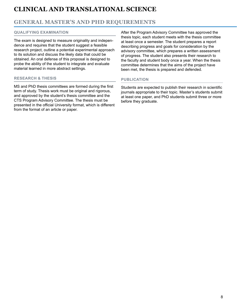## **GENERAL MASTER'S AND PHD REQUIREMENTS**

#### **QUALIFYING EXAMINATION**

The exam is designed to measure originality and independence and requires that the student suggest a feasible research project, outline a potential experimental approach to its solution and discuss the likely data that could be obtained. An oral defense of this proposal is designed to probe the ability of the student to integrate and evaluate material learned in more abstract settings.

#### **RESEARCH & THESIS**

MS and PhD thesis committees are formed during the first term of study. Thesis work must be original and rigorous, and approved by the student's thesis committee and the CTS Program Advisory Committee. The thesis must be presented in the official University format, which is different from the format of an article or paper.

After the Program Advisory Committee has approved the thesis topic, each student meets with the thesis committee at least once a semester. The student prepares a report describing progress and goals for consideration by the advisory committee, which prepares a written assessment of progress. The student also presents their research to the faculty and student body once a year. When the thesis committee determines that the aims of the project have been met, the thesis is prepared and defended.

#### **PUBLICATION**

Students are expected to publish their research in scientific journals appropriate to their topic. Master's students submit at least one paper, and PhD students submit three or more before they graduate.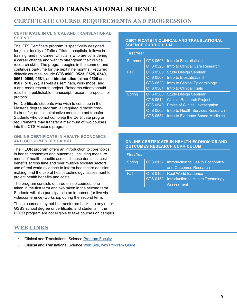## <span id="page-8-0"></span>**CERTIFICATE COURSE REQUIREMENTS AND PROGRESSION**

#### **CERTIFICATE IN CLINICAL AND TRANSLATIONAL SCIENCE**

The CTS Certificate program is specifically designed for junior faculty of Tufts-affiliated hospitals, fellows in training, and mid-career clinicians who are considering a career change and want to strengthen their clinical research skills. The program begins in the summer and continues part-time for the next nine months. Required didactic courses include **CTS 0500, 0523, 0525, 0540, 0561, 0566, 0581**, and **biostatistics** (either **0506** and **0507**, or **0527**), as well as seminars, workshops, and a one-credit research project. Research efforts should result in a publishable manuscript, research proposal, or protocol.

For Certificate students who wish to continue in the Master's degree program, all required didactic credits transfer; additional elective credits do not transfer. Students who do not complete the Certificate program requirements may transfer a maximum of two courses into the CTS Master's program.

#### **ONLINE CERTIFICATE IN HEALTH ECONOMICS AND OUTCOMES RESEARCH**

The HEOR program offers an introduction to core topics in health economics and outcomes, including measurements of health benefits across disease domains, cost benefits across time and over multiple societal sectors, use of real world evidence to inform healthcare decision making, and the use of health technology assessment to project health benefits and costs.

The program consists of three online courses, one taken in the first term and two taken in the second term. Students will also participate in an in-person (or live via videoconference) workshop during the second term.

These courses may not be transferred back into any other GSBS school degree or certificate, and students in the HEOR program are not eligible to take courses on campus.

## **WEB LINKS**

- Clinical and Translational Science [Program Faculty](https://gsbs.tufts.edu/academics/CTS/faculty)
- Clinical and Translational Science [Web Site, with Program Guide](https://gsbs.tufts.edu/academics/CTS)

#### **CERTIFICATE IN CLINICAL AND TRANSLATIONAL SCIENCE CURRICULUM**

| <b>First Year</b> |                 |                                         |
|-------------------|-----------------|-----------------------------------------|
| <b>Summer</b>     | <b>CTS 0506</b> | Intro to Biostatistics I                |
|                   | <b>CTS 0525</b> | Intro to Clinical Care Research         |
| Fall              | <b>CTS 0500</b> | <b>Study Design Seminar</b>             |
|                   | <b>CTS 0507</b> | <b>Intro to Biostatistics II</b>        |
|                   | <b>CTS 0523</b> | Intro to Clinical Epidemiology          |
|                   | <b>CTS 0561</b> | Intro to Clinical Trials                |
| Spring            | <b>CTS 0500</b> | <b>Study Design Seminar</b>             |
|                   | <b>CTS 0514</b> | <b>Clinical Research Project</b>        |
|                   | <b>CTS 0540</b> | <b>Ethics of Clinical Investigation</b> |
|                   | <b>CTS 0566</b> | Intro to Health Services Research       |
|                   | CTS 0581        | Intro to Evidence-Based Medicine        |

#### **ONLINE CERTIFICATE IN HEALTH ECONOMICS AND OUTCOMES RESEARCH CURRICULUM**

| <b>First Year</b> |                                                    |
|-------------------|----------------------------------------------------|
|                   | Spring   CTS 0157 Introduction to Health Economics |
|                   | and Outcomes Research                              |
| Fall              | CTS 0150 Real World Evidence                       |
|                   | CTS 0152 Introduction to Health Technology         |
|                   | <b>Assessment</b>                                  |
|                   |                                                    |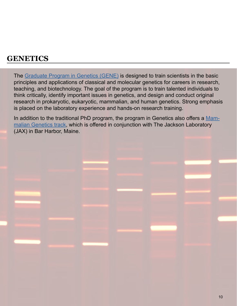<span id="page-9-0"></span>The [Graduate Program in Genetics \(GENE\)](https://gsbs.tufts.edu/academics/genetics) is designed to train scientists in the basic principles and applications of classical and molecular genetics for careers in research, teaching, and biotechnology. The goal of the program is to train talented individuals to think critically, identify important issues in genetics, and design and conduct original research in prokaryotic, eukaryotic, mammalian, and human genetics. Strong emphasis is placed on the laboratory experience and hands-on research training.

In addition to the traditional PhD program, the program in Genetics also offers a [Mam](https://gsbs.tufts.edu/academics/mammalianGenetics)[malian Genetics track](https://gsbs.tufts.edu/academics/mammalianGenetics), which is offered in conjunction with The Jackson Laboratory (JAX) in Bar Harbor, Maine.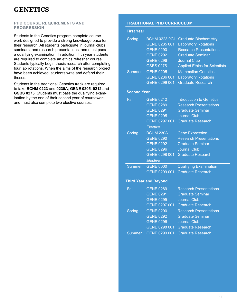#### <span id="page-10-0"></span>**PHD COURSE REQUIREMENTS AND PROGRESSION**

Students in the Genetics program complete coursework designed to provide a strong knowledge base for their research. All students participate in journal clubs, seminars, and research presentations, and must pass a qualifying examination. In addition, fifth year students are required to complete an ethics refresher course. Students typically begin thesis research after completing four lab rotations. When the aims of the research project have been achieved, students write and defend their theses.

Students in the traditional Genetics track are required to take **BCHM 0223** and **0230A**; **GENE 0205**, **0212** and **GSBS 0275**. Students must pass the qualifying examination by the end of their second year of coursework and must also complete two elective courses.

#### **TRADITIONAL PHD CURRICULUM**

| <b>First Year</b>            |                      |                                      |
|------------------------------|----------------------|--------------------------------------|
| <b>Spring</b>                | <b>BCHM 0223 9GI</b> | <b>Graduate Biochemistry</b>         |
|                              | GENE 0235 001        | <b>Laboratory Rotations</b>          |
|                              | <b>GENE 0290</b>     | <b>Research Presentations</b>        |
|                              | <b>GENE 0292</b>     | <b>Graduate Seminar</b>              |
|                              | <b>GENE 0296</b>     | <b>Journal Club</b>                  |
|                              | GSBS 0275            | <b>Applied Ethics for Scientists</b> |
| <b>Summer</b>                | <b>GENE 0205</b>     | <b>Mammalian Genetics</b>            |
|                              | GENE 0236 001        | <b>Laboratory Rotations</b>          |
|                              | GENE 0299 001        | <b>Graduate Research</b>             |
| <b>Second Year</b>           |                      |                                      |
| Fall                         | <b>GENE 0212</b>     | <b>Introduction to Genetics</b>      |
|                              | <b>GENE 0289</b>     | <b>Research Presentations</b>        |
|                              | <b>GENE 0291</b>     | <b>Graduate Seminar</b>              |
|                              | <b>GENE 0295</b>     | <b>Journal Club</b>                  |
|                              |                      | GENE 0297 001 Graduate Research      |
|                              | Elective             |                                      |
| <b>Spring</b>                | <b>BCHM 230A</b>     | <b>Gene Expression</b>               |
|                              | <b>GENE 0290</b>     | <b>Research Presentations</b>        |
|                              | <b>GENE 0292</b>     | <b>Graduate Seminar</b>              |
|                              | <b>GENE 0296</b>     | <b>Journal Club</b>                  |
|                              | GENE 0298 001        | <b>Graduate Research</b>             |
|                              | Elective             |                                      |
| <b>Summer</b>                | <b>GENE 0000</b>     | <b>Qualifying Examination</b>        |
|                              | GENE 0299 001        | <b>Graduate Research</b>             |
| <b>Third Year and Beyond</b> |                      |                                      |
| Fall                         | <b>GENE 0289</b>     | <b>Research Presentations</b>        |
|                              | <b>GENE 0291</b>     | <b>Graduate Seminar</b>              |
|                              | <b>GENE 0295</b>     | Journal Club                         |
|                              | GENE 0297 001        | <b>Graduate Research</b>             |
| <b>Spring</b>                | <b>GENE 0290</b>     | <b>Research Presentations</b>        |
|                              | <b>GENE 0292</b>     | <b>Graduate Seminar</b>              |
|                              | <b>GENE 0296</b>     | <b>Journal Club</b>                  |
|                              | GENE 0298 001        | <b>Graduate Research</b>             |
| <b>Summer</b>                | GENE 0299 001        | <b>Graduate Research</b>             |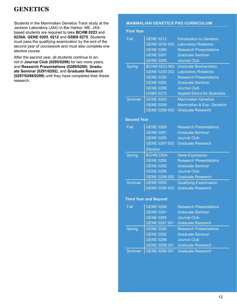<span id="page-11-0"></span>Students in the Mammalian Genetics Track study at the Jackson Laboratory (JAX) in Bar Harbor, ME. JAXbased students are required to take **BCHM 0223** and **0230A**; **GENE 0205**, **0212** and **GSBS 0275**. Students must pass the qualifying examination by the end of the second year of coursework and must also complete one elective course.

After the second year, all students continue to enroll in **Journal Club (0295/0296)** for two more years, and **Research Presentations (0289/0290)**, **Graduate Seminar (0291/0292)**, and **Graduate Research (0297/0298/0299)** until they have completed their thesis research.

#### **MAMMALIAN GENETICS PHD CURRICULUM**

| <b>First Year</b>            |                      |                                      |
|------------------------------|----------------------|--------------------------------------|
| Fall                         | <b>GENE 0212</b>     | <b>Introduction to Genetics</b>      |
|                              | GENE 0234 002        | <b>Laboratory Rotations</b>          |
|                              | <b>GENE 0289</b>     | <b>Research Presentations</b>        |
|                              | <b>GENE 0291</b>     | <b>Graduate Seminar</b>              |
|                              | <b>GENE 0295</b>     | <b>Journal Club</b>                  |
| <b>Spring</b>                | <b>BCHM 0223 9GI</b> | <b>Graduate Biochemistry</b>         |
|                              | GENE 0235 002        | <b>Laboratory Rotations</b>          |
|                              | <b>GENE 0290</b>     | <b>Research Presentations</b>        |
|                              | <b>GENE 0292</b>     | <b>Graduate Seminar</b>              |
|                              | <b>GENE 0296</b>     | <b>Journal Club</b>                  |
|                              | <b>GSBS 0275</b>     | <b>Applied Ethics for Scientists</b> |
| <b>Summer</b>                | <b>GENE 0205</b>     | <b>Mammalian Genetics</b>            |
|                              | <b>GENE 0208</b>     | Mammalian & Exp. Genetics            |
|                              | GENE 0299 002        | <b>Graduate Research</b>             |
| <b>Second Year</b>           |                      |                                      |
| Fall                         | <b>GENE 0289</b>     | <b>Research Presentations</b>        |
|                              | <b>GENE 0291</b>     | <b>Graduate Seminar</b>              |
|                              | <b>GENE 0295</b>     | <b>Journal Club</b>                  |
|                              | GENE 0297 002        | <b>Graduate Research</b>             |
|                              | Elective             |                                      |
| <b>Spring</b>                | <b>BCHM 230A</b>     | <b>Gene Expression</b>               |
|                              | <b>GENE 0290</b>     | <b>Research Presentations</b>        |
|                              | <b>GENE 0292</b>     | <b>Graduate Seminar</b>              |
|                              | <b>GENE 0296</b>     | <b>Journal Club</b>                  |
|                              | GENE 0298 002        | <b>Graduate Research</b>             |
| <b>Summer</b>                | <b>GENE 0000</b>     | <b>Qualifying Examination</b>        |
|                              | GENE 0299 002        | <b>Graduate Research</b>             |
| <b>Third Year and Beyond</b> |                      |                                      |
| Fall                         | <b>GENE 0289</b>     | <b>Research Presentations</b>        |
|                              | <b>GENE 0291</b>     | <b>Graduate Seminar</b>              |
|                              | <b>GENE 0295</b>     | <b>Journal Club</b>                  |
|                              | GENE 0297 001        | <b>Graduate Research</b>             |
| Spring                       | <b>GENE 0290</b>     | <b>Research Presentations</b>        |
|                              | <b>GENE 0292</b>     | <b>Graduate Seminar</b>              |
|                              | <b>GENE 0296</b>     | <b>Journal Club</b>                  |
|                              | GENE 0298 001        | <b>Graduate Research</b>             |
| <b>Summer</b>                | GENE 0299 001        | <b>Graduate Research</b>             |
|                              |                      |                                      |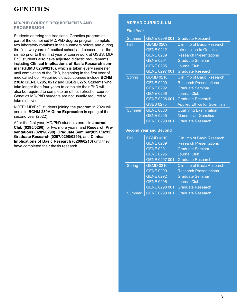#### **MD/PHD COURSE REQUIREMENTS AND PROGRESSION**

Students entering the traditional Genetics program as part of the combined MD/PhD degree program complete two laboratory rotations in the summers before and during the first two years of medical school and choose their thesis lab prior to their first year of coursework at GSBS. MD/ PhD students also have adjusted didactic requirements including **Clinical Implications of Basic Research seminar (GBMD 0209/0210)**, which is taken every semester until completion of the PhD, beginning in the first year of medical school. Required didactic courses include **BCHM 230A**; **GENE 0205**, **0212** and **GSBS 0275**. Students who take longer than four years to complete their PhD will also be required to complete an ethics refresher course. Genetics MD/PhD students are not usually required to take electives.

NOTE: MD/PhD students joining the program in 2020 will enroll in **BCHM 230A Gene Expression** in spring of the second year (2022).

After the first year, MD/PhD students enroll in **Journal Club (0295/0296)** for two more years, and **Research Presentations (0289/0290)**, **Graduate Seminar(0291/0292)**, **Graduate Research (0297/0298/0299)**, and **Clinical Implications of Basic Research (0209/0210)** until they have completed their thesis research.

#### **MD/PHD CURRICULUM**

#### **First Year**

| Summer | GENE 0299 001    |                                      |
|--------|------------------|--------------------------------------|
|        |                  | <b>Graduate Research</b>             |
| Fall   | <b>GBMD 0209</b> | Clin Imp of Basic Research           |
|        | <b>GENE 0212</b> | <b>Introduction to Genetics</b>      |
|        | <b>GENE 0289</b> | <b>Research Presentations</b>        |
|        | <b>GENE 0291</b> | <b>Graduate Seminar</b>              |
|        | <b>GENE 0295</b> | <b>Journal Club</b>                  |
|        | GENE 0297 001    | <b>Graduate Research</b>             |
| Spring | <b>GBMD 0210</b> | Clin Imp of Basic Research           |
|        | <b>GENE 0290</b> | <b>Research Presentations</b>        |
|        | <b>GENE 0292</b> | <b>Graduate Seminar</b>              |
|        | <b>GENE 0296</b> | <b>Journal Club</b>                  |
|        | GENE 0298 001    | <b>Graduate Research</b>             |
|        | <b>GSBS 0275</b> | <b>Applied Ethics for Scientists</b> |
| Summer | <b>GENE 0000</b> | <b>Qualifying Examination</b>        |
|        | <b>GENE 0205</b> | <b>Mammalian Genetics</b>            |
|        | GENE 0299 001    | <b>Graduate Research</b>             |

#### **Second Year and Beyond**

| Fall   | <b>GBMD 0210</b> | Clin Imp of Basic Research    |
|--------|------------------|-------------------------------|
|        | <b>GENE 0289</b> | <b>Research Presentations</b> |
|        | <b>GENE 0291</b> | <b>Graduate Seminar</b>       |
|        | <b>GENE 0295</b> | <b>Journal Club</b>           |
|        | GENE 0297 001    | <b>Graduate Research</b>      |
| Spring | <b>GBMD 0210</b> | Clin Imp of Basic Research    |
|        | <b>GENE 0290</b> | <b>Research Presentations</b> |
|        | <b>GENE 0292</b> | <b>Graduate Seminar</b>       |
|        | <b>GENE 0296</b> | <b>Journal Club</b>           |
|        | GENE 0298 001    | <b>Graduate Research</b>      |
| Summer | GENE 0299 001    | <b>Graduate Research</b>      |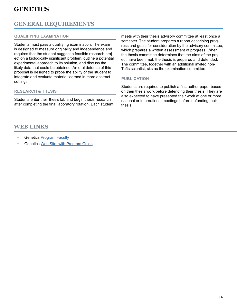## **GENERAL REQUIREMENTS**

#### **QUALIFYING EXAMINATION**

Students must pass a qualifying examination. The exam is designed to measure originality and independence and requires that the student suggest a feasible research project on a biologically significant problem, outline a potential experimental approach to its solution, and discuss the likely data that could be obtained. An oral defense of this proposal is designed to probe the ability of the student to integrate and evaluate material learned in more abstract settings.

#### **RESEARCH & THESIS**

Students enter their thesis lab and begin thesis research after completing the final laboratory rotation. Each student meets with their thesis advisory committee at least once a semester. The student prepares a report describing progress and goals for consideration by the advisory committee, which prepares a written assessment of progress. When the thesis committee determines that the aims of the project have been met, the thesis is prepared and defended. The committee, together with an additional invited non-Tufts scientist, sits as the examination committee.

#### **PUBLICATION**

Students are required to publish a first author paper based on their thesis work before defending their thesis. They are also expected to have presented their work at one or more national or international meetings before defending their thesis.

## **WEB LINKS**

- Genetics [Program Faculty](https://gsbs.tufts.edu/academics/genetics/faculty)
- Genetics [Web Site, with Program Guide](https://gsbs.tufts.edu/academics/genetics)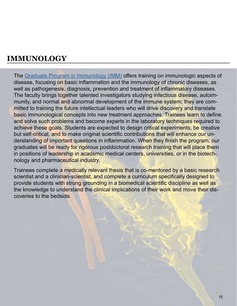<span id="page-14-0"></span>The [Graduate Program in Immunology \(IMM\)](https://gsbs.tufts.edu/academics/immunology) offers training on immunologic aspects of disease, focusing on basic inflammation and the immunology of chronic diseases, as well as pathogenesis, diagnosis, prevention and treatment of inflammatory diseases. The faculty brings together talented investigators studying infectious disease, autoimmunity, and normal and abnormal development of the immune system; they are committed to training the future intellectual leaders who will drive discovery and translate basic immunological concepts into new treatment approaches. Trainees learn to define and solve such problems and become experts in the laboratory techniques required to achieve these goals. Students are expected to design critical experiments, be creative but self-critical, and to make original scientific contributions that will enhance our understanding of important questions in inflammation. When they finish the program, our graduates will be ready for rigorous postdoctoral research training that will place them in positions of leadership in academic medical centers, universities, or in the biotechnology and pharmaceutical industry.

Trainees complete a medically relevant thesis that is co-mentored by a basic research scientist and a clinician-scientist, and complete a curriculum specifically designed to provide students with strong grounding in a biomedical scientific discipline as well as the knowledge to understand the clinical implications of their work and move their discoveries to the bedside.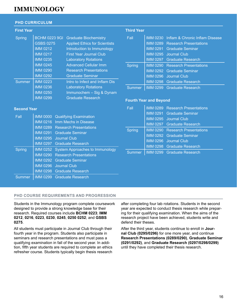#### **PHD CURRICULUM**

#### **First Year**

| Spring        | <b>BCHM 0223 9GI</b> | <b>Graduate Biochemistry</b>         |
|---------------|----------------------|--------------------------------------|
|               | <b>GSBS 0275</b>     | <b>Applied Ethics for Scientists</b> |
|               | <b>IMM 0212</b>      | Introduction to Immunology           |
|               | <b>IMM 0217</b>      | <b>First Year Journal Club</b>       |
|               | <b>IMM 0235</b>      | <b>Laboratory Rotations</b>          |
|               | <b>IMM 0245</b>      | <b>Advanced Cellular Imm</b>         |
|               | <b>IMM 0290</b>      | <b>Research Presentations</b>        |
|               | <b>IMM 0292</b>      | <b>Graduate Seminar</b>              |
| <b>Summer</b> | <b>IMM 0223</b>      | Intro to Infect and Inflam Dis       |
|               | <b>IMM 0236</b>      | <b>Laboratory Rotations</b>          |
|               | <b>IMM 0250</b>      | Immunochem - Sig & Dynam             |
|               | <b>IMM 0299</b>      | <b>Graduate Research</b>             |
|               |                      |                                      |

#### **Third Year**

| Fall          | IMM 0230 Inflam & Chronic Inflam Disease |
|---------------|------------------------------------------|
|               | <b>IMM 0289</b> Research Presentations   |
|               | <b>IMM 0291 Graduate Seminar</b>         |
|               | IMM 0295 Journal Club                    |
|               | <b>IMM 0297</b> Graduate Research        |
| <b>Spring</b> | <b>IMM 0290 Research Presentations</b>   |
|               | IMM 0292 Graduate Seminar                |
|               | IMM 0296 Journal Club                    |
|               | <b>IMM 0298</b> Graduate Research        |
| Summer        | <b>IMM 0299 Graduate Research</b>        |

#### **Fourth Year and Beyond**

#### **Second Year**

| Fall   |                 | <b>IMM 0000 Qualifying Examination</b> |  |
|--------|-----------------|----------------------------------------|--|
|        | <b>IMM 0216</b> | Imm Mechs in Disease                   |  |
|        |                 | <b>IMM 0289</b> Research Presentations |  |
|        |                 | IMM 0291 Graduate Seminar              |  |
|        |                 | IMM 0295 Journal Club                  |  |
|        |                 | IMM 0297 Graduate Research             |  |
|        |                 |                                        |  |
| Spring | <b>IMM 0252</b> | System Approaches to Immunology        |  |
|        | <b>IMM 0290</b> | <b>Research Presentations</b>          |  |
|        | <b>IMM 0292</b> | <b>Graduate Seminar</b>                |  |
|        |                 | IMM 0296 Journal Club                  |  |
|        |                 | <b>IMM 0298 Graduate Research</b>      |  |

| Fall          | IMM 0289 Research Presentations        |
|---------------|----------------------------------------|
|               | IMM 0291 Graduate Seminar              |
|               | IMM 0295 Journal Club                  |
|               | <b>IMM 0297</b> Graduate Research      |
| <b>Spring</b> | <b>IMM 0290</b> Research Presentations |
|               | <b>IMM 0292 Graduate Seminar</b>       |
|               | IMM 0296 Journal Club                  |
|               | IMM 0298 Graduate Research             |
| Summer        | IMM 0299 Graduate Research             |

#### **PHD COURSE REQUIREMENTS AND PROGRESSION**

Students in the Immunology program complete coursework designed to provide a strong knowledge base for their research. Required courses include **BCHM 0223**; **IMM 0212**, **0216**, **0223**, **0230**, **0245**, **0250 0252**; and **GSBS 0275**.

All students must participate in Journal Club through their fourth year in the program. Students also participate in seminars and research presentations and must pass a qualifying examination in fall of the second year. In addition, fifth year students are required to complete an ethics refresher course. Students typically begin thesis research

after completing four lab rotations. Students in the second year are expected to conduct thesis research while preparing for their qualifying examination. When the aims of the research project have been achieved, students write and defend their theses.

After the third year, students continue to enroll in **Journal Club (0295/0296)** for one more year, and continue **Research Presentations (0289/0290)**, **Graduate Seminar (0291/0292)**, and **Graduate Research (0297/0298/0299)** until they have completed their thesis research.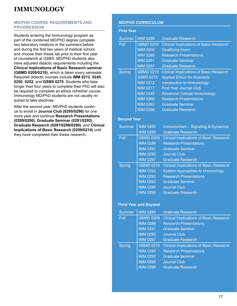#### **MD/PHD COURSE REQUIREMENTS AND PROGRESSION**

Students entering the Immunology program as part of the combined MD/PhD degree complete two laboratory rotations in the summers before and during the first two years of medical school, and choose their thesis lab prior to their first year of coursework at GSBS. MD/PhD students also have adjusted didactic requirements including the **Clinical Implications of Basic Research seminar (GBMD 0209/0210)**, which is taken every semester. Required didactic courses include **IMM 0212**, **0245**, **0250**, **0252**; and **GSBS 0275**. Students who take longer than four years to complete their PhD will also be required to complete an ethics refresher course. Immunology MD/PhD students are not usually required to take electives.

After the second year, MD/PhD students continue to enroll in **Journal Club (0295/0296)** for one more year and continue **Research Presentations (0289/0290)**, **Graduate Seminar (0291/0292)**, **Graduate Research (0297/0298/0299)**, and **Clinical Implications of Basic Research (0209/0210)** until they have completed their thesis research.

#### **MD/PHD CURRICULUM**

| <b>First Year</b>  |                              |                                                |
|--------------------|------------------------------|------------------------------------------------|
| <b>Summer</b>      | <b>IMM 0299</b>              | Graduate Research                              |
| Fall               | <b>GBMD 0209</b>             | <b>Clinical Implications of Basic Research</b> |
|                    | <b>IMM 0000</b>              | <b>Qualifying Exam</b>                         |
|                    | <b>IMM 0289</b>              | <b>Research Presentations</b>                  |
|                    | <b>IMM 0291</b>              | <b>Graduate Seminar</b>                        |
|                    | <b>IMM 0297</b>              | <b>Graduate Research</b>                       |
| <b>Spring</b>      | <b>GBMD 0210</b>             | <b>Clinical Implications of Basic Research</b> |
|                    | <b>GSBS 0275</b>             | <b>Applied Ethics for Scientists</b>           |
|                    | <b>IMM 0212</b>              | Introduction to Immunology                     |
|                    | <b>IMM 0217</b>              | <b>First Year Journal Club</b>                 |
|                    | <b>IMM 0245</b>              | <b>Advanced Cellular Immunology</b>            |
|                    | <b>IMM 0290</b>              | <b>Research Presentations</b>                  |
|                    | <b>IMM 0292</b>              | <b>Graduate Seminar</b>                        |
|                    | <b>IMM 0298</b>              | <b>Graduate Research</b>                       |
| <b>Second Year</b> |                              |                                                |
| Summer             | <b>IMM 0250</b>              | Immunochem - Signaling & Dynamics              |
|                    | <b>IMM 0299</b>              | <b>Graduate Research</b>                       |
| Fall               | <b>GBMD 0209</b>             | <b>Clinical Implications of Basic Research</b> |
|                    | <b>IMM 0289</b>              | <b>Research Presentations</b>                  |
|                    | <b>IMM 0291</b>              | <b>Graduate Seminar</b>                        |
|                    | <b>IMM 0295</b>              | <b>Journal Club</b>                            |
|                    | <b>IMM 0297</b>              | <b>Graduate Research</b>                       |
| <b>Spring</b>      | <b>GBMD 0210</b>             | <b>Clinical Implications of Basic Research</b> |
|                    | <b>IMM 0252</b>              | <b>System Approaches to Immunology</b>         |
|                    | <b>IMM 0290</b>              | <b>Research Presentations</b>                  |
|                    | <b>IMM 0292</b>              | <b>Graduate Seminar</b>                        |
|                    | <b>IMM 0296</b>              | <b>Journal Club</b>                            |
|                    | <b>IMM 0298</b>              | <b>Graduate Research</b>                       |
|                    | <b>Third Year and Beyond</b> |                                                |

| <b>Summer</b> | <b>IMM 0299</b>  | <b>Graduate Research</b>                       |
|---------------|------------------|------------------------------------------------|
| Fall          | <b>GBMD 0209</b> | <b>Clinical Implications of Basic Research</b> |
|               | <b>IMM 0289</b>  | <b>Research Presentations</b>                  |
|               | <b>IMM 0291</b>  | <b>Graduate Seminar</b>                        |
|               | <b>IMM 0295</b>  | <b>Journal Club</b>                            |
|               | <b>IMM 0297</b>  | <b>Graduate Research</b>                       |
| <b>Spring</b> | <b>GBMD 0210</b> | <b>Clinical Implications of Basic Research</b> |
|               | <b>IMM 0290</b>  | <b>Research Presentations</b>                  |
|               | <b>IMM 0292</b>  | <b>Graduate Seminar</b>                        |
|               | <b>IMM 0296</b>  | <b>Journal Club</b>                            |
|               | <b>IMM 0298</b>  | <b>Graduate Research</b>                       |
|               |                  |                                                |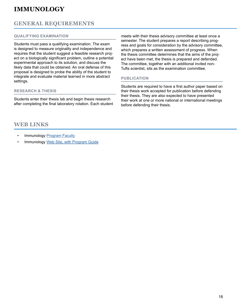## **GENERAL REQUIREMENTS**

#### **QUALIFYING EXAMINATION**

Students must pass a qualifying examination. The exam is designed to measure originality and independence and requires that the student suggest a feasible research project on a biologically significant problem, outline a potential experimental approach to its solution, and discuss the likely data that could be obtained. An oral defense of this proposal is designed to probe the ability of the student to integrate and evaluate material learned in more abstract settings.

#### **RESEARCH & THESIS**

Students enter their thesis lab and begin thesis research after completing the final laboratory rotation. Each student

## **WEB LINKS**

- Immunology [Program Faculty](https://gsbs.tufts.edu/academics/immunology/faculty)
- Immunology [Web Site, with Program Guide](https://gsbs.tufts.edu/academics/immunology)

meets with their thesis advisory committee at least once a semester. The student prepares a report describing progress and goals for consideration by the advisory committee, which prepares a written assessment of progress. When the thesis committee determines that the aims of the project have been met, the thesis is prepared and defended. The committee, together with an additional invited non-Tufts scientist, sits as the examination committee.

#### **PUBLICATION**

Students are required to have a first author paper based on their thesis work accepted for publication before defending their thesis. They are also expected to have presented their work at one or more national or international meetings before defending their thesis.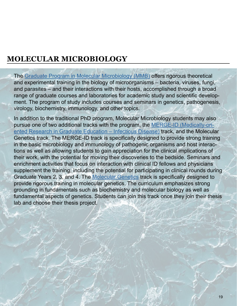# <span id="page-18-0"></span>**MOLECULAR MICROBIOLOGY**

The [Graduate Program in Molecular Microbiology \(MMB\)](https://gsbs.tufts.edu/academics/molecularMicrobiology) offers rigorous theoretical and experimental training in the biology of microorganisms – bacteria, viruses, fungi, and parasites – and their interactions with their hosts, accomplished through a broad range of graduate courses and laboratories for academic study and scientific development. The program of study includes courses and seminars in genetics, pathogenesis, virology, biochemistry, immunology, and other topics.

In addition to the traditional PhD program, Molecular Microbiology students may also pursue one of two additional tracks with the program, the [MERGE-ID \(Medically-ori](https://gsbs.tufts.edu/academics/molecular-microbiology/special-tracks)[ented Research in Graduate Education – Infectious Disease\)](https://gsbs.tufts.edu/academics/molecular-microbiology/special-tracks) track, and the Molecular Genetics track. The MERGE-ID track is specifically designed to provide strong training in the basic microbiology and immunology of pathogenic organisms and host interactions as well as allowing students to gain appreciation for the clinical implications of their work, with the potential for moving their discoveries to the bedside. Seminars and enrichment activities that focus on interaction with clinical ID fellows and physicians supplement the training, including the potential for participating in clinical rounds during Graduate Years 2, 3, and 4. The [Molecular Genetics](https://gsbs.tufts.edu/academics/molecular-microbiology/special-tracks) track is specifically designed to provide rigorous training in molecular genetics. The curriculum emphasizes strong grounding in fundamentals such as biochemistry and molecular biology as well as fundamental aspects of genetics. Students can join this track once they join their thesis lab and choose their thesis project.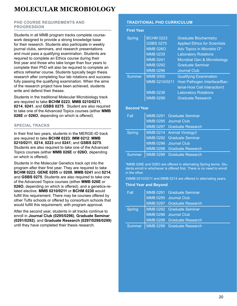## <span id="page-19-0"></span>**MOLECULAR MICROBIOLOGY**

#### **PHD COURSE REQUIREMENTS AND PROGRESSION**

Students in all MMB program tracks complete coursework designed to provide a strong knowledge base for their research. Students also participate in weekly journal clubs, seminars, and research presentations and must pass a qualifying examination. Students are required to complete an Ethics course during their first year and those who take longer than four years to complete their PhD will also be required to complete an ethics refresher course. Students typically begin thesis research after completing four lab rotations and successfully passing the qualifying examination. When the aims of the research project have been achieved, students write and defend their theses.

Students in the traditional Molecular Microbiology track are required to take **BCHM 0223**; **MMB 0210/0211**, **0214**, **0241**, and **GSBS 0275**. Student are also required to take one of the Advanced Topics courses (either **MMB 026E** or **026O**, depending on which is offered).

#### **SPECIAL TRACKS**

In their first two years, students in the MERGE-ID track are required to take **BCHM 0223**; **IMM 0212**; **MMB 0210/0211**, **0214**, **0223** and **0241**; and **GSBS 0275**. Students are also required to take one of the Advanced Topics courses (either **MMB 026E** or **026O**, depending on which is offered).

Students in the Molecular Genetics track opt into the program after their first year. They are required to take **BCHM 0223**; **GENE 0205** or **0208**, **MMB 0241** and **0214**; and **GSBS 0275**. Students are also required to take one of the Advanced Topics courses (either **MMB 026E** or **026O**, depending on which is offered), and a genetics-related elective. **MMB 0210/0211** or **BCHM 0230** would fulfill this requirement. There may be courses offered by other Tufts schools or offered by consortium schools that would fulfill this requirement, with program approval.

After the second year, students in all tracks continue to enroll in **Journal Club (0295/0296)**, **Graduate Seminar (0291/0292)**, and **Graduate Research (0297/0298/0299)** until they have completed their thesis research.

#### **TRADITIONAL PHD CURRICULUM**

#### **First Year**

| Spring        | <b>BCHM 0223</b> | <b>Graduate Biochemistry</b>         |
|---------------|------------------|--------------------------------------|
|               | <b>GSBS 0275</b> | <b>Applied Ethics for Scientists</b> |
|               | <b>MMB 026O</b>  | Adv Topics in Microbio O*            |
|               | <b>MMB 0235</b>  | <b>Laboratory Rotations</b>          |
|               | <b>MMB 0241</b>  | Microbial Gen & Microbiology         |
|               | <b>MMB 0292</b>  | <b>Graduate Seminar</b>              |
|               | <b>MMB 0296</b>  | <b>Journal Club</b>                  |
| <b>Summer</b> | <b>MMB 0000</b>  | <b>Qualifying Examination</b>        |
|               | MMB 0210/0211    | Host Pathogen Interface/Bac-         |
|               |                  | terial-Host Cell Interaction†        |
|               | <b>MMB 0236</b>  | <b>Laboratory Rotations</b>          |
|               | <b>MMB 0299</b>  | <b>Graduate Research</b>             |

#### **Second Year**

| Fall          | MMB 0291 Graduate Seminar           |
|---------------|-------------------------------------|
|               | MMB 0295 Journal Club               |
|               | MMB 0297 Graduate Research          |
| <b>Spring</b> | MMB 0214 Animal Virology†           |
|               | MMB 0292 Graduate Seminar           |
|               | MMB 0296 Journal Club               |
|               | MMB 0298 Graduate Research          |
|               | Summer   MMB 0299 Graduate Research |

\*MMB 026E and 026O are offered in alternating Spring terms. Students enroll in whichever is offered first. There is no need to enroll in the other.

†MMB 0210/0211 and MMB 0214 are offered in alternating years.

#### **Third Year and Beyond**

| Fall          | MMB 0291 Graduate Seminar           |
|---------------|-------------------------------------|
|               | MMB 0295 Journal Club               |
|               | MMB 0297 Graduate Research          |
| <b>Spring</b> | MMB 0292 Graduate Seminar           |
|               | MMB 0296 Journal Club               |
|               | MMB 0298 Graduate Research          |
|               | Summer   MMB 0299 Graduate Research |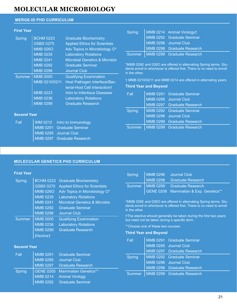## **MOLECULAR MICROBIOLOGY MOLECULAR MICROBIOLOGY**

#### **MERGE-ID PHD CURRICULUM**

#### **First Year**

| <b>Spring</b> | <b>BCHM 0223</b> | <b>Graduate Biochemistry</b>         |
|---------------|------------------|--------------------------------------|
|               | <b>GSBS 0275</b> | <b>Applied Ethics for Scientists</b> |
|               | <b>MMB 026O</b>  | Adv Topics in Microbiology O*        |
|               | <b>MMB 0235</b>  | <b>Laboratory Rotations</b>          |
|               | <b>MMB 0241</b>  | Microbial Genetics & Microbio        |
|               | <b>MMB 0292</b>  | <b>Graduate Seminar</b>              |
|               | <b>MMB 0296</b>  | <b>Journal Club</b>                  |
| <b>Summer</b> | <b>MMB 0000</b>  | <b>Qualifying Examination</b>        |
|               | MMB 0210/0211    | Host Pathogen Interface/Bac-         |
|               |                  | terial-Host Cell Interaction+        |
|               | <b>MMB 0223</b>  | Intro to Infectious Diseases         |
|               | <b>MMB 0236</b>  | <b>Laboratory Rotations</b>          |
|               | <b>MMB 0299</b>  | <b>Graduate Research</b>             |

#### Spring | MMB 0214 Animal Virology† MMB 0292 Graduate Seminar MMB 0296 Journal Club MMB 0298 Graduate Research Summer | MMB 0299 Graduate Research

\*MMB 026E and 026O are offered in alternating Spring terms. Students enroll in whichever is offered first. There is no need to enroll in the other.

† MMB 0210/0211 and MMB 0214 are offered in alternating years.

#### **Third Year and Beyond**

Spring | MMB 0296

Fall MMB 0291 Graduate Seminar MMB 0295 Journal Club

| <b>Fall</b>   | MMB 0291 Graduate Seminar           |  |
|---------------|-------------------------------------|--|
|               | MMB 0295 Journal Club               |  |
|               | MMB 0297 Graduate Research          |  |
| <b>Spring</b> | MMB 0292 Graduate Seminar           |  |
|               | MMB 0296 Journal Club               |  |
|               | MMB 0298 Graduate Research          |  |
|               | Summer   MMB 0299 Graduate Research |  |

Journal Club

### **Second Year**

| Fall | <b>IMM 0212</b> Intro to Immunology |
|------|-------------------------------------|
|      | MMB 0291 Graduate Seminar           |
|      | MMB 0295 Journal Club               |
|      | MMB 0297 Graduate Research          |

#### **MOLECULAR GENETICS PHD CURRICULUM**

#### **First Year**

| Spring        |                                             | BCHM 0223 Graduate Biochemistry          |                                                                                                                     | <b>MMB 0298</b> | <b>Graduate Research</b>                                         |
|---------------|---------------------------------------------|------------------------------------------|---------------------------------------------------------------------------------------------------------------------|-----------------|------------------------------------------------------------------|
|               | <b>GSBS 0275</b>                            | <b>Applied Ethics for Scientists</b>     | <b>Summer</b>                                                                                                       | <b>MMB 0299</b> | <b>Graduate Research</b>                                         |
|               | <b>MMB 026O</b>                             | Adv Topics in Microbiology O*            |                                                                                                                     |                 | GENE 0208 Mammalian & Exp. Genetics**                            |
|               | <b>MMB 0235</b>                             | <b>Laboratory Rotations</b>              |                                                                                                                     |                 |                                                                  |
|               | MMB 0241                                    | <b>Microbial Genetics &amp; Microbio</b> |                                                                                                                     |                 | *MMB 026E and 026O are offered in alternating Spring terms. Stu- |
|               | <b>MMB 0292</b>                             | <b>Graduate Seminar</b>                  | dents enroll in whichever is offered first. There is no need to enroll<br>in the other.                             |                 |                                                                  |
|               | MMB 0296                                    | Journal Club                             |                                                                                                                     |                 |                                                                  |
| <b>Summer</b> | <b>MMB 0000</b>                             | <b>Qualifying Examination</b>            | †The elective should generally be taken during the first two years<br>but need not be taken during a specific term. |                 |                                                                  |
|               | <b>MMB 0236</b>                             | <b>Laboratory Rotations</b>              | **Choose one of these two courses.                                                                                  |                 |                                                                  |
|               | <b>MMB 0299</b><br><b>Graduate Research</b> | <b>Third Year and Beyond</b>             |                                                                                                                     |                 |                                                                  |
|               | Elective†                                   |                                          |                                                                                                                     |                 |                                                                  |

#### **Second Year**

| Fall<br><b>MMB 0295</b> |                            |                                           | MMB 0297 Graduate Research |                                     |
|-------------------------|----------------------------|-------------------------------------------|----------------------------|-------------------------------------|
|                         |                            | MMB 0291 Graduate Seminar<br>Journal Club | Spring                     | MMB 0292 Graduate Seminar           |
|                         |                            |                                           |                            | MMB 0296 Journal Club               |
|                         | MMB 0297 Graduate Research |                                           | MMB 0298 Graduate Research |                                     |
| Spring                  |                            | GENE 0205 Mammalian Genetics**            |                            |                                     |
|                         |                            | MMB 0214 Animal Virology                  |                            | Summer   MMB 0299 Graduate Research |
|                         |                            | MMB 0292 Graduate Seminar                 |                            |                                     |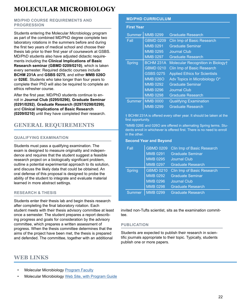# **MOLECULAR MICROBIOLOGY**

#### **MD/PHD COURSE REQUIREMENTS AND PROGRESSION**

Students entering the Molecular Microbiology program as part of the combined MD/PhD degree complete two laboratory rotations in the summers before and during the first two years of medical school and choose their thesis lab prior to their first year of coursework at GSBS. MD/PhD students also have adjusted didactic requirements including the **Clinical Implications of Basic Research seminar (GBMD 0209/0210)**, which is taken every semester. Required didactic courses include **BCHM 231A** and **GSBS 0275**, and either **MMB 026O** or **026E**. Students who take longer than four years to complete their PhD will also be required to complete an ethics refresher course.

After the first year, MD/PhD students continue to enroll in **Journal Club (0295/0296)**, **Graduate Seminar (0291/0292)**, **Graduate Research (0297/0298/0299)**, and **Clinical Implications of Basic Research (0209/0210)** until they have completed their research.

## **GENERAL REQUIREMENTS**

#### **QUALIFYING EXAMINATION**

Students must pass a qualifying examination. The exam is designed to measure originality and independence and requires that the student suggest a feasible research project on a biologically significant problem, outline a potential experimental approach to its solution, and discuss the likely data that could be obtained. An oral defense of this proposal is designed to probe the ability of the student to integrate and evaluate material learned in more abstract settings.

#### **RESEARCH & THESIS**

Students enter their thesis lab and begin thesis research after completing the final laboratory rotation. Each student meets with their thesis advisory committee at least once a semester. The student prepares a report describing progress and goals for consideration by the advisory committee, which prepares a written assessment of progress. When the thesis committee determines that the aims of the project have been met, the thesis is prepared and defended. The committee, together with an additional

## **WEB LINKS**

- **Molecular Microbiology [Program Faculty](https://gsbs.tufts.edu/academics/CMDB/faculty)**
- Molecular Microbiology [Web Site, with Program Guide](https://gsbs.tufts.edu/academics/CMDB)

#### **MD/PHD CURRICULUM**

#### **First Year**

| <b>Summer</b> | <b>MMB 0299</b>  | <b>Graduate Research</b>             |
|---------------|------------------|--------------------------------------|
| Fall          | <b>GBMD 0209</b> | <b>Clin Imp of Basic Research</b>    |
|               | <b>MMB 0291</b>  | <b>Graduate Seminar</b>              |
|               | <b>MMB 0295</b>  | <b>Journal Club</b>                  |
|               | <b>MMB 0297</b>  | Graduate Research                    |
| Spring        | <b>BCHM 231A</b> | Molecular Recognition in Biologyt    |
|               | <b>GBMD 0210</b> | Clin Imp of Basic Research           |
|               | <b>GSBS 0275</b> | <b>Applied Ethics for Scientists</b> |
|               | <b>MMB 026O</b>  | Adv Topics in Microbiology O*        |
|               | <b>MMB 0292</b>  | <b>Graduate Seminar</b>              |
|               | <b>MMB 0296</b>  | <b>Journal Club</b>                  |
|               | <b>MMB 0298</b>  | <b>Graduate Research</b>             |
| Summer        | <b>MMB 0000</b>  | <b>Qualifying Examination</b>        |
|               | <b>MMB 0299</b>  | Graduate Research                    |

† BCHM 231A is offered every other year. It should be taken at the first opportunity.

\*MMB 026E and 026O are offered in alternating Spring terms. Students enroll in whichever is offered first. There is no need to enroll in the other.

#### **Second Year and Beyond**

| Fall          | <b>GBMD 0209</b><br><b>MMB 0291</b><br><b>MMB 0295</b> | Clin Imp of Basic Research<br><b>Graduate Seminar</b><br><b>Journal Club</b> |
|---------------|--------------------------------------------------------|------------------------------------------------------------------------------|
|               | <b>MMB 0297</b>                                        | <b>Graduate Research</b>                                                     |
| Spring        | <b>GBMD 0210</b>                                       | Clin Imp of Basic Research                                                   |
|               | <b>MMB 0292</b>                                        | <b>Graduate Seminar</b>                                                      |
|               | <b>MMB 0296</b>                                        | <b>Journal Club</b>                                                          |
|               | <b>MMB 0298</b>                                        | <b>Graduate Research</b>                                                     |
| <b>Summer</b> | <b>MMB 0299</b>                                        | <b>Graduate Research</b>                                                     |

invited non-Tufts scientist, sits as the examination committee.

#### **PUBLICATION**

Students are expected to publish their research in scientific journals appropriate to their topic. Typically, students publish one or more papers.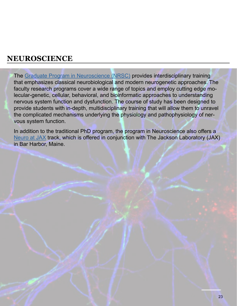<span id="page-22-0"></span>The [Graduate Program in Neuroscience \(NRSC\)](https://gsbs.tufts.edu/academics/neuroscience) provides interdisciplinary training that emphasizes classical neurobiological and modern neurogenetic approaches. The faculty research programs cover a wide range of topics and employ cutting edge molecular-genetic, cellular, behavioral, and bioinformatic approaches to understanding nervous system function and dysfunction. The course of study has been designed to provide students with in-depth, multidisciplinary training that will allow them to unravel the complicated mechanisms underlying the physiology and pathophysiology of nervous system function.

In addition to the traditional PhD program, the program in Neuroscience also offers a [Neuro at JAX](https://gsbs.tufts.edu/academics/neuro-jax) track, which is offered in conjunction with The Jackson Laboratory (JAX) in Bar Harbor, Maine.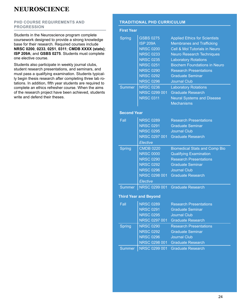#### <span id="page-23-0"></span>**PHD COURSE REQUIREMENTS AND PROGRESSION**

Students in the Neuroscience program complete coursework designed to provide a strong knowledge base for their research. Required courses include **NRSC 0200**, **0233**, **0251**, **0311**; **CMDB XXXX (stats)**; **ISP 209A**; and **GSBS 0275**. Students must complete one elective course.

Students also participate in weekly journal clubs, student research presentations, and seminars, and must pass a qualifying examination. Students typically begin thesis research after completing three lab rotations. In addition, fifth year students are required to complete an ethics refresher course. When the aims of the research project have been achieved, students write and defend their theses.

#### **TRADITIONAL PHD CURRICULUM**

#### **First Year**

| <b>Spring</b>      | <b>GSBS 0275</b><br><b>ISP 209A</b><br><b>NRSC 0200</b><br><b>NRSC 0233</b><br><b>NRSC 0235</b><br><b>NRSC 0251</b><br><b>NRSC 0290</b><br><b>NRSC 0292</b> | <b>Applied Ethics for Scientists</b><br><b>Membranes and Trafficking</b><br><b>Cell &amp; Mol Tutorials in Neuro</b><br><b>Neuro Research Techniques</b><br><b>Laboratory Rotations</b><br><b>Biochem Foundations in Neuro</b><br><b>Research Presentations</b><br><b>Graduate Seminar</b> |
|--------------------|-------------------------------------------------------------------------------------------------------------------------------------------------------------|--------------------------------------------------------------------------------------------------------------------------------------------------------------------------------------------------------------------------------------------------------------------------------------------|
| <b>Summer</b>      | <b>NRSC 0296</b><br><b>NRSC 0236</b>                                                                                                                        | <b>Journal Club</b><br><b>Laboratory Rotations</b>                                                                                                                                                                                                                                         |
|                    | NRSC 0299 001                                                                                                                                               | <b>Graduate Research</b>                                                                                                                                                                                                                                                                   |
|                    | <b>NRSC 0311</b>                                                                                                                                            | <b>Neural Systems and Disease</b><br><b>Mechanisms</b>                                                                                                                                                                                                                                     |
|                    |                                                                                                                                                             |                                                                                                                                                                                                                                                                                            |
| <b>Second Year</b> |                                                                                                                                                             |                                                                                                                                                                                                                                                                                            |
| Fall               | <b>NRSC 0289</b>                                                                                                                                            | <b>Research Presentations</b>                                                                                                                                                                                                                                                              |
|                    | <b>NRSC 0291</b>                                                                                                                                            | <b>Graduate Seminar</b>                                                                                                                                                                                                                                                                    |
|                    | <b>NRSC 0295</b>                                                                                                                                            | <b>Journal Club</b>                                                                                                                                                                                                                                                                        |
|                    | NRSC 0297 001                                                                                                                                               | <b>Graduate Research</b>                                                                                                                                                                                                                                                                   |
|                    | Elective                                                                                                                                                    |                                                                                                                                                                                                                                                                                            |
| <b>Spring</b>      | <b>CMDB 0220</b>                                                                                                                                            | <b>Biomedical Stats and Comp Bio</b>                                                                                                                                                                                                                                                       |
|                    | <b>NRSC 0000</b>                                                                                                                                            | <b>Qualifying Examination</b>                                                                                                                                                                                                                                                              |
|                    | <b>NRSC 0290</b>                                                                                                                                            | <b>Research Presentations</b>                                                                                                                                                                                                                                                              |
|                    | <b>NRSC 0292</b>                                                                                                                                            | <b>Graduate Seminar</b>                                                                                                                                                                                                                                                                    |
|                    | <b>NRSC 0296</b>                                                                                                                                            | <b>Journal Club</b>                                                                                                                                                                                                                                                                        |
|                    | NRSC 0298 001                                                                                                                                               | <b>Graduate Research</b>                                                                                                                                                                                                                                                                   |
|                    | Elective                                                                                                                                                    |                                                                                                                                                                                                                                                                                            |
| <b>Summer</b>      | NRSC 0299 001                                                                                                                                               | <b>Graduate Research</b>                                                                                                                                                                                                                                                                   |
|                    | <b>Third Year and Beyond</b>                                                                                                                                |                                                                                                                                                                                                                                                                                            |
| Fall               | <b>NRSC 0289</b>                                                                                                                                            | <b>Research Presentations</b>                                                                                                                                                                                                                                                              |
|                    | <b>NRSC 0291</b>                                                                                                                                            | <b>Graduate Seminar</b>                                                                                                                                                                                                                                                                    |
|                    | <b>NRSC 0295</b>                                                                                                                                            | <b>Journal Club</b>                                                                                                                                                                                                                                                                        |
|                    | NRSC 0297 001                                                                                                                                               | <b>Graduate Research</b>                                                                                                                                                                                                                                                                   |
| <b>Spring</b>      | <b>NRSC 0290</b>                                                                                                                                            | <b>Research Presentations</b>                                                                                                                                                                                                                                                              |
|                    | <b>NRSC 0292</b>                                                                                                                                            | <b>Graduate Seminar</b>                                                                                                                                                                                                                                                                    |
|                    | <b>NRSC 0296</b>                                                                                                                                            | <b>Journal Club</b>                                                                                                                                                                                                                                                                        |
|                    | NRSC 0298 001                                                                                                                                               | <b>Graduate Research</b>                                                                                                                                                                                                                                                                   |
| <b>Summer</b>      | NRSC 0299 001                                                                                                                                               | <b>Graduate Research</b>                                                                                                                                                                                                                                                                   |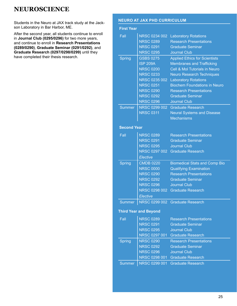<span id="page-24-0"></span>Students in the Neuro at JAX track study at the Jackson Laboratory in Bar Harbor, ME.

After the second year, all students continue to enroll in **Journal Club (0295/0296)** for two more years, and continue to enroll in **Research Presentations (0289/0290)**, **Graduate Seminar (0291/0292)**, and **Graduate Research (0297/0298/0299)** until they have completed their thesis research.

#### **NEURO AT JAX PHD CURRICULUM**

| <b>NRSC 0234 002</b><br><b>NRSC 0289</b><br><b>NRSC 0291</b><br><b>NRSC 0295</b><br><b>GSBS 0275</b><br><b>ISP 209A</b><br><b>NRSC 0200</b><br><b>NRSC 0233</b><br><b>NRSC 0235 002</b><br><b>NRSC 0251</b> | <b>Laboratory Rotations</b><br><b>Research Presentations</b><br><b>Graduate Seminar</b><br><b>Journal Club</b><br><b>Applied Ethics for Scientists</b><br><b>Membranes and Trafficking</b><br>Cell & Mol Tutorials in Neuro<br><b>Neuro Research Techniques</b><br><b>Laboratory Rotations</b>                                                                                                                                         |
|-------------------------------------------------------------------------------------------------------------------------------------------------------------------------------------------------------------|----------------------------------------------------------------------------------------------------------------------------------------------------------------------------------------------------------------------------------------------------------------------------------------------------------------------------------------------------------------------------------------------------------------------------------------|
|                                                                                                                                                                                                             |                                                                                                                                                                                                                                                                                                                                                                                                                                        |
|                                                                                                                                                                                                             |                                                                                                                                                                                                                                                                                                                                                                                                                                        |
|                                                                                                                                                                                                             |                                                                                                                                                                                                                                                                                                                                                                                                                                        |
|                                                                                                                                                                                                             |                                                                                                                                                                                                                                                                                                                                                                                                                                        |
|                                                                                                                                                                                                             |                                                                                                                                                                                                                                                                                                                                                                                                                                        |
|                                                                                                                                                                                                             |                                                                                                                                                                                                                                                                                                                                                                                                                                        |
|                                                                                                                                                                                                             |                                                                                                                                                                                                                                                                                                                                                                                                                                        |
|                                                                                                                                                                                                             |                                                                                                                                                                                                                                                                                                                                                                                                                                        |
|                                                                                                                                                                                                             | <b>Biochem Foundations in Neuro</b>                                                                                                                                                                                                                                                                                                                                                                                                    |
| <b>NRSC 0290</b>                                                                                                                                                                                            | <b>Research Presentations</b>                                                                                                                                                                                                                                                                                                                                                                                                          |
| <b>NRSC 0292</b>                                                                                                                                                                                            | <b>Graduate Seminar</b>                                                                                                                                                                                                                                                                                                                                                                                                                |
| <b>NRSC 0296</b>                                                                                                                                                                                            | <b>Journal Club</b>                                                                                                                                                                                                                                                                                                                                                                                                                    |
| <b>NRSC 0299 002</b>                                                                                                                                                                                        | <b>Graduate Research</b>                                                                                                                                                                                                                                                                                                                                                                                                               |
| <b>NRSC 0311</b>                                                                                                                                                                                            | <b>Neural Systems and Disease</b>                                                                                                                                                                                                                                                                                                                                                                                                      |
|                                                                                                                                                                                                             | <b>Mechanisms</b>                                                                                                                                                                                                                                                                                                                                                                                                                      |
|                                                                                                                                                                                                             |                                                                                                                                                                                                                                                                                                                                                                                                                                        |
|                                                                                                                                                                                                             |                                                                                                                                                                                                                                                                                                                                                                                                                                        |
|                                                                                                                                                                                                             | <b>Research Presentations</b>                                                                                                                                                                                                                                                                                                                                                                                                          |
|                                                                                                                                                                                                             | <b>Graduate Seminar</b>                                                                                                                                                                                                                                                                                                                                                                                                                |
|                                                                                                                                                                                                             | <b>Journal Club</b>                                                                                                                                                                                                                                                                                                                                                                                                                    |
|                                                                                                                                                                                                             | NRSC 0297 002 Graduate Research                                                                                                                                                                                                                                                                                                                                                                                                        |
|                                                                                                                                                                                                             |                                                                                                                                                                                                                                                                                                                                                                                                                                        |
|                                                                                                                                                                                                             | <b>Biomedical Stats and Comp Bio</b>                                                                                                                                                                                                                                                                                                                                                                                                   |
|                                                                                                                                                                                                             | <b>Qualifying Examination</b>                                                                                                                                                                                                                                                                                                                                                                                                          |
|                                                                                                                                                                                                             | <b>Research Presentations</b>                                                                                                                                                                                                                                                                                                                                                                                                          |
|                                                                                                                                                                                                             | <b>Graduate Seminar</b>                                                                                                                                                                                                                                                                                                                                                                                                                |
|                                                                                                                                                                                                             | <b>Journal Club</b>                                                                                                                                                                                                                                                                                                                                                                                                                    |
|                                                                                                                                                                                                             | <b>Graduate Research</b>                                                                                                                                                                                                                                                                                                                                                                                                               |
|                                                                                                                                                                                                             |                                                                                                                                                                                                                                                                                                                                                                                                                                        |
|                                                                                                                                                                                                             | NRSC 0299 002 Graduate Research                                                                                                                                                                                                                                                                                                                                                                                                        |
|                                                                                                                                                                                                             |                                                                                                                                                                                                                                                                                                                                                                                                                                        |
|                                                                                                                                                                                                             | <b>Research Presentations</b>                                                                                                                                                                                                                                                                                                                                                                                                          |
|                                                                                                                                                                                                             | <b>Graduate Seminar</b>                                                                                                                                                                                                                                                                                                                                                                                                                |
|                                                                                                                                                                                                             | <b>Journal Club</b>                                                                                                                                                                                                                                                                                                                                                                                                                    |
|                                                                                                                                                                                                             | <b>Graduate Research</b>                                                                                                                                                                                                                                                                                                                                                                                                               |
|                                                                                                                                                                                                             | <b>Research Presentations</b>                                                                                                                                                                                                                                                                                                                                                                                                          |
|                                                                                                                                                                                                             | <b>Graduate Seminar</b>                                                                                                                                                                                                                                                                                                                                                                                                                |
|                                                                                                                                                                                                             | <b>Journal Club</b>                                                                                                                                                                                                                                                                                                                                                                                                                    |
|                                                                                                                                                                                                             | <b>Graduate Research</b>                                                                                                                                                                                                                                                                                                                                                                                                               |
|                                                                                                                                                                                                             | <b>Graduate Research</b>                                                                                                                                                                                                                                                                                                                                                                                                               |
|                                                                                                                                                                                                             | <b>Second Year</b><br><b>NRSC 0289</b><br><b>NRSC 0291</b><br><b>NRSC 0295</b><br>Elective<br><b>CMDB 0220</b><br><b>NRSC 0000</b><br><b>NRSC 0290</b><br><b>NRSC 0292</b><br><b>NRSC 0296</b><br>NRSC 0298 002<br>Elective<br><b>Third Year and Beyond</b><br><b>NRSC 0289</b><br><b>NRSC 0291</b><br><b>NRSC 0295</b><br>NRSC 0297 001<br><b>NRSC 0290</b><br><b>NRSC 0292</b><br><b>NRSC 0296</b><br>NRSC 0298 001<br>NRSC 0299 001 |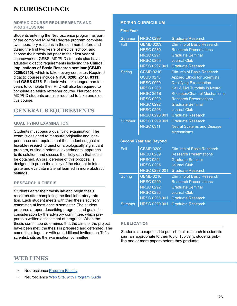#### **MD/PHD COURSE REQUIREMENTS AND PROGRESSION**

Students entering the Neuroscience program as part of the combined MD/PhD degree program complete two laboratory rotations in the summers before and during the first two years of medical school, and choose their thesis lab prior to their first year of coursework at GSBS. MD/PhD students also have adjusted didactic requirements including the **Clinical Implications of Basic Research seminar (GBMD 0209/0210)**, which is taken every semester. Required didactic courses include **NRSC 0200**, **251B**, **0311**; and **GSBS 0275**. Students who take longer than four years to complete their PhD will also be required to complete an ethics refresher course. Neuroscience MD/PhD students are also required to take one elective course.

## **GENERAL REQUIREMENTS**

#### **QUALIFYING EXAMINATION**

Students must pass a qualifying examination. The exam is designed to measure originality and independence and requires that the student suggest a feasible research project on a biologically significant problem, outline a potential experimental approach to its solution, and discuss the likely data that could be obtained. An oral defense of this proposal is designed to probe the ability of the student to integrate and evaluate material learned in more abstract settings.

#### **RESEARCH & THESIS**

Students enter their thesis lab and begin thesis research after completing the final laboratory rotation. Each student meets with their thesis advisory committee at least once a semester. The student prepares a report describing progress and goals for consideration by the advisory committee, which prepares a written assessment of progress. When the thesis committee determines that the aims of the project have been met, the thesis is prepared and defended. The committee, together with an additional invited non-Tufts scientist, sits as the examination committee.

#### **MD/PHD CURRICULUM**

| <b>First Year</b>             |                  |                                      |  |
|-------------------------------|------------------|--------------------------------------|--|
| <b>Summer</b>                 | <b>NRSC 0299</b> | <b>Graduate Research</b>             |  |
| Fall                          | <b>GBMD 0209</b> | Clin Imp of Basic Research           |  |
|                               | <b>NRSC 0289</b> | <b>Research Presentations</b>        |  |
|                               | <b>NRSC 0291</b> | <b>Graduate Seminar</b>              |  |
|                               | <b>NRSC 0295</b> | <b>Journal Club</b>                  |  |
|                               | NRSC 0297 001    | <b>Graduate Research</b>             |  |
| <b>Spring</b>                 | <b>GBMD 0210</b> | Clin Imp of Basic Research           |  |
|                               | <b>GSBS 0275</b> | <b>Applied Ethics for Scientists</b> |  |
|                               | <b>NRSC 0000</b> | <b>Qualifying Examination</b>        |  |
|                               | <b>NRSC 0200</b> | Cell & Mol Tutorials in Neuro        |  |
|                               | <b>NRSC 251B</b> | <b>Receptor/Channel Mechanisms</b>   |  |
|                               | <b>NRSC 0290</b> | <b>Research Presentations</b>        |  |
|                               | <b>NRSC 0292</b> | <b>Graduate Seminar</b>              |  |
|                               | <b>NRSC 0296</b> | <b>Journal Club</b>                  |  |
|                               | NRSC 0298 001    | <b>Graduate Research</b>             |  |
| <b>Summer</b>                 | NRSC 0299 001    | <b>Graduate Research</b>             |  |
|                               | <b>NRSC 0311</b> | <b>Neural Systems and Disease</b>    |  |
|                               |                  | <b>Mechanisms</b>                    |  |
| <b>Second Year and Beyond</b> |                  |                                      |  |
| Fall                          | <b>GBMD 0209</b> | Clin Imp of Basic Research           |  |
|                               | <b>NRSC 0289</b> | <b>Research Presentations</b>        |  |
|                               | <b>NRSC 0291</b> | <b>Graduate Seminar</b>              |  |
|                               | <b>NRSC 0295</b> | <b>Journal Club</b>                  |  |
|                               | NRSC 0297 001    | <b>Graduate Research</b>             |  |
| <b>Spring</b>                 | <b>GBMD 0210</b> | Clin Imp of Basic Research           |  |
|                               | <b>NRSC 0290</b> | <b>Research Presentations</b>        |  |
|                               | <b>NRSC 0292</b> | <b>Graduate Seminar</b>              |  |
|                               | <b>NRSC 0296</b> | <b>Journal Club</b>                  |  |
|                               |                  | NRSC 0298 001 Graduate Research      |  |
| <b>Summer</b>                 | NRSC 0299 001    | <b>Graduate Research</b>             |  |

#### **PUBLICATION**

Students are expected to publish their research in scientific journals appropriate to their topic. Typically, students publish one or more papers before they graduate.

## **WEB LINKS**

- **Neuroscience [Program Faculty](https://gsbs.tufts.edu/academics/neuroscience/faculty)**
- Neuroscience [Web Site, with Program Guide](https://gsbs.tufts.edu/academics/neuroscience)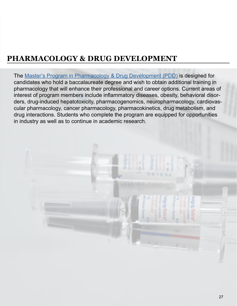# <span id="page-26-0"></span>**PHARMACOLOGY & DRUG DEVELOPMENT**

The [Master's Program in Pharmacology & Drug Development \(PDD\)](https://gsbs.tufts.edu/academics/PDD) is designed for candidates who hold a baccalaureate degree and wish to obtain additional training in pharmacology that will enhance their professional and career options. Current areas of interest of program members include inflammatory diseases, obesity, behavioral disorders, drug-induced hepatotoxicity, pharmacogenomics, neuropharmacology, cardiovascular pharmacology, cancer pharmacology, pharmacokinetics, drug metabolism, and drug interactions. Students who complete the program are equipped for opportunities in industry as well as to continue in academic research.

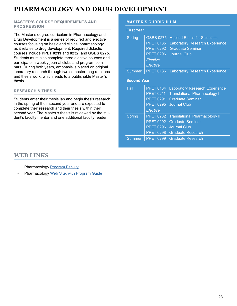# **PHARMACOLOGY AND DRUG DEVELOPMENT**

#### **MASTER'S COURSE REQUIREMENTS AND PROGRESSION**

The Master's degree curriculum in Pharmacology and Drug Development is a series of required and elective courses focusing on basic and clinical pharmacology as it relates to drug development. Required didactic courses include **PPET 0211** and **0232**, and **GSBS 0275**. Students must also complete three elective courses and participate in weekly journal clubs and program seminars. During both years, emphasis is placed on original laboratory research through two semester-long rotations and thesis work, which leads to a publishable Master's thesis.

#### **RESEARCH & THESIS**

Students enter their thesis lab and begin thesis research in the spring of their second year and are expected to complete their research and their thesis within their second year. The Master's thesis is reviewed by the student's faculty mentor and one additional faculty reader.

#### **MASTER'S CURRICULUM**

| <b>First Year</b> |                                                                                                      |                                                                                                                                 |  |
|-------------------|------------------------------------------------------------------------------------------------------|---------------------------------------------------------------------------------------------------------------------------------|--|
| <b>Spring</b>     | <b>GSBS 0275</b><br><b>PPET 0135</b><br><b>PPET 0292</b><br><b>PPET 0296</b><br>Elective<br>Elective | <b>Applied Ethics for Scientists</b><br><b>Laboratory Research Experience</b><br><b>Graduate Seminar</b><br><b>Journal Club</b> |  |
| <b>Summer</b>     | <b>PPET 0136</b>                                                                                     | <b>Laboratory Research Experience</b>                                                                                           |  |
|                   | <b>Second Year</b>                                                                                   |                                                                                                                                 |  |
| Fall              | <b>PPET 0134</b><br><b>PPET 0211</b><br><b>PPET 0291</b><br><b>PPET 0295</b><br>Elective             | <b>Laboratory Research Experience</b><br><b>Translational Pharmacology I</b><br><b>Graduate Seminar</b><br><b>Journal Club</b>  |  |
| Spring            | <b>PPET 0232</b><br><b>PPET 0292</b><br><b>PPET 0296</b><br><b>PPET 0298</b>                         | <b>Translational Pharmacology II</b><br><b>Graduate Seminar</b><br><b>Journal Club</b><br><b>Graduate Research</b>              |  |
| <b>Summer</b>     | <b>PPET 0299</b>                                                                                     | <b>Graduate Research</b>                                                                                                        |  |

## **WEB LINKS**

- Pharmacology [Program Faculty](https://gsbs.tufts.edu/academics/PDD/faculty)
- Pharmacology [Web Site, with Program Guide](https://gsbs.tufts.edu/academics/PDD)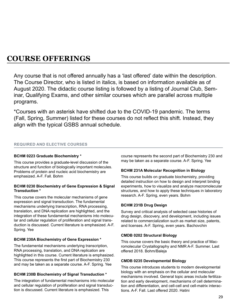<span id="page-28-0"></span>Any course that is not offered annually has a 'last offered' date within the description. The Course Director, who is listed in italics, is based on information available as of August 2020. The didactic course listing is followed by a listing of Journal Club, Seminar, Qualifying Exams, and other similar courses which are parallel across multiple programs.

\*Courses with an asterisk have shifted due to the COVID-19 pandemic. The terms (Fall, Spring, Summer) listed for these courses do not reflect this shift. Instead, they align with the typical GSBS annual schedule.

#### **REQUIRED AND ELECTIVE COURSES**

#### **BCHM 0223 Graduate Biochemistry \***

This course provides a graduate-level discussion of the structure and function of biologically important molecules. Problems of protein and nucleic acid biochemistry are emphasized. A-F. Fall. Bohm

#### **BCHM 0230 Biochemistry of Gene Expression & Signal Transduction \***

This course covers the molecular mechanisms of gene expression and signal transduction. The fundamental mechanisms underlying transcription, RNA processing, translation, and DNA replication are highlighted, and the integration of these fundamental mechanisms into molecular and cellular regulation of proliferation and signal transduction is discussed. Current literature is emphasized. A-F. Spring. Yee

#### **BCHM 230A Biochemistry of Gene Expression \***

The fundamental mechanisms underlying transcription, RNA processing, translation, and DNA replication are highlighted in this course. Current literature is emphasized. This course represents the first part of Biochemistry 230 and may be taken as a separate course. A-F. Spring. Yee

#### **BCHM 230B Biochemistry of Signal Transduction \***

The integration of fundamental mechanisms into molecular and cellular regulation of proliferation and signal transduction is discussed. Current literature is emphasized. This

course represents the second part of Biochemistry 230 and may be taken as a separate course. A-F. Spring. Yee

#### **BCHM 231A Molecular Recognition in Biology**

This course builds on graduate biochemistry, providing detailed instruction on how to design and interpret binding experiments, how to visualize and analyze macromolecular structures, and how to apply these techniques in laboratory research. A-F. Spring, even years. Bohm

#### **BCHM 231B Drug Design**

Survey and critical analysis of selected case histories of drug design, discovery, and development, including issues related to commercialization such as market size, patents, and licenses. A-F. Spring, even years. Bachovchin

#### **CMDB 0202 Structural Biology**

This course covers the basic theory and practice of Macromolecular Crystallography and NMR A-F. Summer. Last offered 2018. Bohm/Baleja

#### **CMDB 0235 Developmental Biology**

This course introduces students to modern developmental biology with an emphasis on the cellular and molecular mechanisms involved. General topic areas include fertilization and early development, mechanisms of cell determination and differentiation, and cell-cell and cell-matrix interactions. A-F. Fall. Last offered 2020. Hatini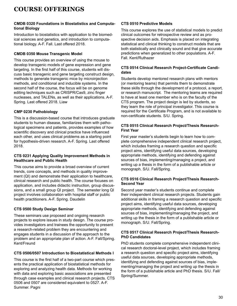#### **CMDB 0320 Foundations in Biostatistics and Computational Biology**

Introduction to biostatistics with application to the biomedical sciences and genetics, and introduction to computational biology. A-F. Fall. Last offered 2018.

#### **CMDB 0350 Mouse Transgenic Model**

This course provides an overview of using the mouse to develop transgenic models of gene expression and gene targeting. In the first half of this course, students will discuss basic transgenic and gene targeting construct design, methods to generate transgenic mice by microinjection methods, and conditional and inducible systems. In the second half of the course, the focus will be on genome editing techniques such as CRISPR/Cas9, zinc finger nucleases, and TALENs, as well as their applications. A-F. Spring. Last offered 2018. Liaw

#### **CMP 0230 Pathobiology**

This is a discussion-based course that introduces graduate students to human disease, familiarizes them with pathological specimens and patients, provides examples of how scientific discovery and clinical practice have influenced each other, and uses clinical problems as a starting point for hypothesis-driven research. A-F. Spring. Last offered 2018.

#### **CTS 0231 Applying Quality Improvement Methods in Healthcare and Public Health**

This course aims to provide a broad overview of current trends, core concepts, and methods in quality improvement (QI) and demonstrate their application to healthcare, clinical research and public health. The course focuses on application, and includes didactic instruction, group discussions, and a small group QI project. The semester long QI project involves collaboration with hospital staff or public health practitioners. A-F. Spring. Daudelin

#### **CTS 0500 Study Design Seminar**

These seminars use proposed and ongoing research projects to explore issues in study design. The course provides investigators and trainees the opportunity to present a research-related problem they are encountering and engages students in a discussion of the approach to the problem and an appropriate plan of action. A-F. Fall/Spring. Kent/Freund

#### **CTS 0506/0507 Introduction to Biostatistical Methods I**

This course is the first half of a two-part course which presents the practical application of biostatistical methods for exploring and analyzing health data. Methods for working with data and exploring basic associations are presented through case examples and clinical research projects. CTS 0506 and 0507 are considered equivalent to 0527. A-F. Summer. Pagni

#### **CTS 0510 Predictive Models**

This course explores the use of statistical models to predict clinical outcomes for retrospective review and as prospective decision aids. Emphasis is placed on integrating statistical and clinical thinking to construct models that are both statistically and clinically sound and that give accurate predictions when generalized to other populations. A-F. Fall. Kent/Ruthazer

#### **CTS 0514 Clinical Research Project-Certificate Candidates**

Students develop mentored research plans with mentors (or mentoring teams) that permits them to demonstrate these skills through the development of a protocol, a report, or research manuscript. The mentoring teams are required to have at least one member who is on the faculty of the CTS program. The project design is led by students, so they learn the role of principal investigator. This course is required for the Certificate Program, and is not available to non-certificate students. S/U. Spring.

#### **CTS 0515 Clinical Research Project/Thesis Research-First Year**

First year master's students begin to learn how to complete comprehensive independent clinical research project, which includes framing a research question and specific project aims, identifying useful data sources, developing appropriate methods, identifying and defending against sources of bias, implementing/managing a project, and writing up a thesis in the form of a publishable article or monograph. S/U. Fall/Spring.

#### **CTS 0516 Clinical Research Project/Thesis Research-Second Year**

Second year master's students continue and complete their independent clinical research projects. Students gain additional skills in framing a research question and specific project aims, identifying useful data sources, developing appropriate methods, identifying and defending against sources of bias, implementing/managing the project, and writing up the thesis in the form of a publishable article or monograph. S/U. Fall/Spring.

#### **CTS 0517 Clinical Research Project/Thesis Research-PhD Candidates**

PhD students complete comprehensive independent clinical research doctoral-level project, which includes framing a research question and specific project aims, identifying useful data sources, developing appropriate methods, identifying and defending against sources of bias, implementing/managing the project and writing up the thesis in the form of a publishable article and PhD thesis. S/U. Fall/ Spring/Summer.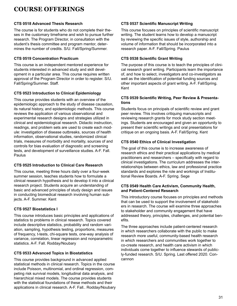#### **CTS 0518 Advanced Thesis Research**

The course is for students who do not complete their theses in the customary timeframe and wish to pursue further research. The Program Director, in consultation with the student's thesis committee and program mentor, determines the number of credits. S/U. Fall/Spring/Summer.

#### **CTS 0519 Concentration Practicum**

This course is an independent mentored experience for students interested in advanced study and skill development in a particular area. This course requires written approval of the Program Director in order to register. S/U. Fall/Spring/Summer. Staff.

#### **CTS 0523 Introduction to Clinical Epidemiology**

This course provides students with an overview of the epidemiologic approach to the study of disease causation, its natural history, and epidemiologic methods. This course reviews the application of various observational and experimental research designs and strategies utilized in clinical and epidemiological research. Didactic instruction, readings, and problem sets are used to create each module: investigation of disease outbreaks, sources of health information, observational studies, randomized clinical trials, measures of morbidity and mortality, sources of and controls for bias evaluation of diagnostic and screening tests, and development of surveillance studies. A-F. Fall. Paulus

#### **CTS 0525 Introduction to Clinical Care Research**

This course, meeting three hours daily over a four-week summer session, teaches students how to formulate a clinical research hypothesis and to develop it into a clinical research project. Students acquire an understanding of basic and advanced principles of study design and issues in conducting biomedical research involving human subjects. A-F. Summer. Kent

#### **CTS 0527 Biostatistics I**

This course introduces basic principles and applications of statistics to problems in clinical research. Topics covered include descriptive statistics, probability and random variation, sampling, hypothesis testing, proportions, measures of frequency, t-tests, chi-square tests, one-way analysis of variance, correlation, linear regression and nonparametric statistics. A-F. Fall. Rodday/Noubary

#### **CTS 0533 Advanced Topics in Biostatistics**

This course provides background in advanced applied statistical methods in clinical research. Topics in the course include Poisson, multinomial, and ordinal regression, competing risk survival models, longitudinal data analysis, and hierarchical mixed models. The course provides students with the statistical foundations of these methods and their applications in clinical research. A-F. Fall.. Rodday/Noubary

#### **CTS 0537 Scientific Manuscript Writing**

This course focuses on principles of scientific manuscript writing. The student learns how to develop a manuscript by reviewing the specific issues of style, authorship and volume of information that should be incorporated into a research paper. A-F. Fall/Spring. Paulus

#### **CTS 0538 Scientific Grant Writing**

The purpose of this course is to teach the principles of clinical research grant writing. Participants learn the importance of, and how to select, investigators and co-investigators as well as the identification of potential funding sources and other important aspects of grant writing. A-F. Fall/Spring. Kent

#### **CTS 0539 Scientific Writing, Peer Review & Presentations**

Students focus on principals of scientific review and grant peer review. This involves critiquing manuscripts and reviewing research grants for mock study section meetings. Students are encouraged and given an opportunity to present their scientific writings and oral presentations for critique on an ongoing basis. A-F. Fall/Spring. Kent

#### **CTS 0540 Ethics of Clinical Investigation**

The goal of this course is to increase awareness of research ethics and their practical applications by medical practitioners and researchers – specifically with regard to clinical investigations. The curriculum addresses the interrelationships between ethics, law and professional practice standards and explores the role and workings of Institutional Review Boards. A-F. Spring. Sege

#### **CTS 0549 Health Care Activism, Community Health, and Patient-Centered Research**

This introductory course focuses on principles and methods that can be used to support the involvement of stakeholders in research. The course will examine three approaches to stakeholder and community engagement that have addressed theory, principles, challenges, and potential benefits.

The three approaches include patient-centered research in which researchers collaborate with the public to make research more useful, community-based health research in which researchers and communities work together to co-create research, and health care activism in which individuals come together to influence stewards of publicly-funded research. S/U. Spring. Last offered 2020. Concannon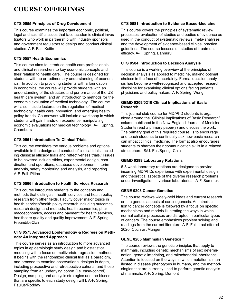#### **CTS 0555 Principles of Drug Development**

This course examines the important economic, political, legal and scientific issues that face academic clinical investigators who work in partnership with industry sponsors and government regulators to design and conduct clinical studies. A-F. Fall. Kaitin

#### **CTS 0557 Health Economics**

This course aims to introduce health care professionals and clinical researchers to key economic concepts and their relation to health care. The course is designed for students with no or rudimentary understanding of economics. In addition to providing students with a foundation in economics, the course will provide students with an understanding of the structure and performance of the US health care system, and an introduction to methods for the economic evaluation of medical technology. The course will also include lectures on the regulation of medical technology, health care innovation, and emerging health policy trends. Coursework will include a workshop in which students will gain hands-on experience manipulating economic evaluations for medical technology. A-F. Spring. Chambers

#### **CTS 0561 Introduction To Clinical Trials**

This course considers the various problems and options available in the design and conduct of clinical trials, including classical efficacy trials and "effectiveness trials." Issues to be covered include ethics, experimental design, coordination and operations, database development, interim analysis, safety monitoring and analysis, and reporting. A-F. Fall. Pittas

#### **CTS 0566 Introduction to Health Services Research**

This course introduces students to the concepts and methods that distinguish health services and health policy research from other fields. Faculty cover major topics in health services/health policy research including outcomes research design and methods, health economics, pharmacoeconomics, access and payment for health services, healthcare quality and quality improvement. A-F. Spring. Freund/LeClair

#### **CTS 0575 Advanced Epidemiology & Regression Methods: An Integrated Approach**

This course serves as an introduction to more advanced topics in epidemiologic study design and biostatistical modeling with a focus on multivariate regression methods. It begins with the randomized clinical trial as a paradigm, and proceed to examine observational designs in depth, including prospective and retrospective cohorts, and those sampling from an underlying cohort (i.e. case-control). Design, sampling and analysis strategies and the biases that are specific to each study design will b A-F. Spring. Paulus/Rodday

#### **CTS 0581 Introduction to Evidence Based-Medicine**

This course covers the principles of systematic review processes, evaluation of studies and bodies of evidence as used in the conduct of systematic reviews, meta-analyses and the development of evidence-based clinical practice guidelines. The course focuses on studies of treatment efficacy. A-F. Spring. Bannuru

#### **CTS 0584 Introduction to Decision Analysis**

This course is a working overview of the principles of decision analysis as applied to medicine, making optimal choices in the face of uncertainty. Formal decision analysis has become a well-recognized and accepted research discipline for examining clinical options facing patients, physicians and policymakers. A-F. Spring. Wong

#### **GBMD 0209/0210 Clinical Implications of Basic Research**

This journal club course for MD/PhD students is organized around the "Clinical Implications of Basic Research" column published in the New England Journal of Medicine. Students read a primary paper(s) and discuss the work. The primary goal of this required course, is to encourage and teach students to continually ask how basic research can impact clinical medicine. The format also encourages students to sharpen their communication skills in a relaxed atmosphere. S/U. Fall/Spring. Chin

#### **GBMD 0299 Laboratory Rotations**

6-8 week laboratory rotations are designed to provide incoming MD/PhDs experience with experimental design and theoretical aspects of the diverse research problems under investigation in various laboratories. A-F. Summer.

#### **GENE 0203 Cancer Genetics**

The course reviews widely-held ideas and current research on the genetic aspects of carcinogenesis. An introduction to cancer concepts is followed by a focus on specific mechanisms and models illustrating the ways in which normal cellular processes are disrupted in particular types of cancers. The course emphasizes problem solving and readings from the current literature. A-F. Fall. Last offered 2020. Cochran/Munger

#### **GENE 0205 Mammalian Genetics \***

The course reviews the genetic principles that apply to mammals, including genetic mechanisms of sex determination, genetic imprinting, and mitochondrial inheritance. Attention is focused on the ways in which mutation is manifested in disease phenotypes in humans, and the methodologies that are currently used to perform genetic analysis of mammals. A-F. Spring. Dumont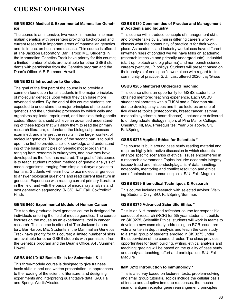#### **GENE 0208 Medical & Experimental Mammalian Genetics**

The course is an intensive, two-week immersion into mammalian genetics with presenters providing background and current research in important areas of mammalian genetics and its impact on health and disease. This course is offered at The Jackson Laboratory, Bar Harbor, ME. Students in the Mammalian Genetics Track have priority for this course; a limited number of slots are available for other GSBS students with permission from the Genetics program and the Dean's Office. A-F. Summer. Howell

#### **GENE 0212 Introduction to Genetics**

The goal of the first part of the course is to provide a common foundation for all students in the major principles of molecular genetics upon which they can base more advanced studies. By the end of this course students are expected to understand the major principles of molecular genetics and the underlying processes by which cells and organisms replicate, repair, read, and translate their genetic codes. Students should achieve an advanced understanding of these topics that will allow them to read the primary research literature, understand the biological processes examined, and interpret the results in the larger context of molecular genetics. The goal of the second part is to build upon the first to provide a solid knowledge and understanding of the basic principles of Genetic model organisms, ranging from research in eukaryotes, and how they have developed as the field has matured. The goal of this course is to teach students modern methods of genetic analysis of model organisms, ranging from simple eukaryotic yeast to humans. Students will learn how to use molecular genetics to answer biological questions and read current literature in genetics. Experience with reading current primary literature in the field, and with the basics of microarray analysis and next generation sequencing (NGS). A-F. Fall. Cox/Yelick/ Hinds

#### **GENE 0450 Experimental Models of Human Cancer**

This ten-day graduate-level genetics course is designed for individuals entering the field of mouse genetics. The course focuses on the mouse as an experimental tool in cancer research. This course is offered at The Jackson Laboratory, Bar Harbor, ME. Students in the Mammalian Genetics Track have priority for this course; a limited number of slots are available for other GSBS students with permission from the Genetics program and the Dean's Office. A-F. Summer. Howell

#### **GSBS 0101/0102 Basic Skills for Scientists I & II**

This three-module course is designed to give trainees basic skills in oral and written presentation, in approaches to the reading of the scientific literature, and designing experiments and interpreting quantitative data. S/U. Fall and Spring. Wortis/Alcaide

#### **GSBS 0180 Communities of Practice and Management in Academia and Industry**

This course will introduce concepts of management skills and provide talks by alumni in differing careers who will discuss what the community of practice is for their workplace. As academic and industry workplaces have different unwritten rules of conduct we will have talks on academic (research intensive and primarily undergraduate), industrial (start-up, biotech and big pharma) and non-bench science careers (venture, IP, policy). Students will present based on their analysis of one specific workplace with regard to its community of practice. S/U. Last offered 2020. Jay/Gross

#### **GSBS 0205 Mentored Undergrad Teaching**

This course offers an opportunity for GSBS students to obtained mentored teaching experience. Each GSBS student collaborates with a TUSM and a Friedman student to develop a syllabus and three lectures on one of five disease topics (osteoporosis, breast cancer, asthma, metabolic syndrome, heart disease). Lectures are delivered to undergraduate Biology majors at Pine Manor College, Chestnut Hill, MA. Prerequisites: Year 3 or above. S/U. Fall/Spring

#### **GSBS 0275 Applied Ethics for Scientists \***

The course is built around case study reading material and requires highly interactive discussion in which students analyze specific scenarios of ethical issues encountered in a research environment. Topics include: academic integrity issues/ fraud and misconduct/plagiarism/ data handling/ notebooks, mentoring and conflict resolution and ethical use of animals and human subjects. S/U. Fall. Maguire

#### **GSBS 0299 Biomedical Techniques & Research**

This course includes research with selected advisor. Visiting Students Only. S/U. Fall/Spring/Summer.

#### **GSBS 0375 Advanced Scientific Ethics \***

This is an NIH-mandated refresher course for responsible conduct of research (RCR) for 5th year students. It builds on SK 0275, Scientific Ethics; students will work in teams to develop a new case study addressing an RCR issue, provide a written in depth analysis and teach the case study to a small group of students enrolled in SK 0275 under the supervision of the course director. The class provides opportunities for team building, writing, ethical analysis and teaching; grading will be based on the quality of case study and analysis, teaching, effort and participation. S/U. Fall. **Maguire** 

#### **IMM 0212 Introduction to Immunology \***

This is a survey based on lectures, texts, problem-solving and small group tutorials. Topics include the cellular basis of innate and adaptive immune responses, the mechanism of antigen receptor gene rearrangement, principles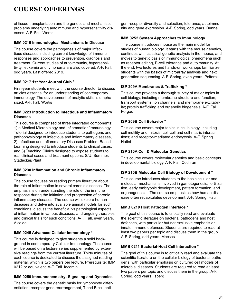of tissue transplantation and the genetic and mechanistic problems underlying autoimmune and hypersensitivity diseases. A-F. Fall. Wortis

#### **IMM 0216 Immunological Mechanisms In Disease**

The course covers the pathogenesis of major infectious diseases including current knowledge of immune responses and approaches to prevention, diagnosis and treatment. Current studies of autoimmunity, hypersensitivity, leukemia and lymphoma are also covered. A-F. Fall, odd years. Last offered 2019.

#### **IMM 0217 1st Year Journal Club \***

First-year students meet with the course director to discuss articles essential for an understanding of contemporary immunology. The development of analytic skills is emphasized. A-F. Fall. Wortis

#### **IMM 0223 Introduction to Infectious and Inflammatory Diseases**

This course is comprised of three integrated components; 1) a Medical Microbiology and Inflammation/Immunology Tutorial designed to introduce students to pathogens and pathophysiology of infectious and inflammatory diseases, 2) Infectious and Inflammatory Diseases Problem-Based Learning designed to introduce students to clinical cases, and 3) Teaching Clinics designed to expose students to real clinical cases and treatment options. S/U. Summer. Stadecker/Plaut

#### **IMM 0230 Inflammation and Chronic Inflammatory Diseases**

The course focuses on reading primary literature about the role of inflammation in several chronic diseases. The emphasis is on understanding the role of the immune response during the initiation and progression of chronic inflammatory diseases. The course will explore human diseases and delve into available animal models for such conditions, discuss the beneficial vs pathological aspects of inflammation in various diseases, and ongoing therapies and clinical trials for such conditions. A-F. Fall, even years. Alcaide

#### **IMM 0245 Advanced Cellular Immunology \***

This course is designed to give students a solid background in contemporary Cellular Immunology. The course will be based on a lecture series supplemented by extensive readings from the current literature. Thirty minutes of each course is dedicated to discuss the assigned reading material, which is two papers per lecture. Prerequisite: IMM 0212 or equivalent. A-F. Fall. Iacomini

#### **IMM 0250 Immunochemistry- Signaling and Dynamics**

The course covers the genetic basis for lymphocyte differentiation, receptor gene rearrangement, T and B cell antigen-receptor diversity and selection, tolerance, autoimmunity and gene expression. A-F. Spring, odd years. Bunnell

#### **IMM 0252 System Approaches to Immunology**

The course introduces mouse as the main model for studies of human biology. It starts with the mouse genetics, continues with classical genetic analysis in the mouse, and moves to genetic basis of immunological phenomena such as receptor editing, B-cell tolerance and autoimmunity. At the end, two lectures and hands-on workshops familiarize students with the basics of microarray analysis and next generation sequencing. A-F. Spring, even years. Poltorak

#### **ISP 209A Membranes & Trafficking \***

This course provides a thorough survey of major topics in cell biology, including membrane structure and function; transport systems, ion channels, and membrane excitability; protein trafficking and organelle biogenesis. A-F. Fall. Forgac

#### **ISP 209B Cell Behavior \***

This course covers major topics in cell biology, including cell motility and mitosis; cell-cell and cell-matrix interactions; and receptor-mediated endocytosis. A-F. Spring. Hatini

#### **ISP 210A Cell & Molecular Genetics**

This course covers molecular genetics and basic concepts in developmental biology. A-F. Fall. Cochran

#### **ISP 210B Molecular Cell Biology of Development \***

This course introduces students to the basic cellular and molecular mechanisms involved in gametogenesis, fertilization, early embryonic development, pattern formation, and organogenesis. The course emphasizes how human disease often recapitulates development. A-F. Spring. Hatini

#### **MMB 0210 Host Pathogen Interface \***

The goal of this course is to critically read and evaluate the scientific literature on bacterial pathogens and host defenses, with particular but not exclusive emphasis on innate immune defenses. Students are required to read at least two papers per topic and discuss them in the group. A-F. Spring, odd years. Mecsas

#### **MMB 0211 Bacterial-Host Cell Interaction \***

The goal of this course is to critically read and evaluate the scientific literature on the cellular biology of bacterial pathogens, with particular emphasis on cultured cell models of microbial diseases. Students are required to read at least two papers per topic and discuss them in the group. A-F. Spring, odd years. Isberg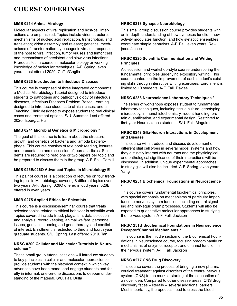#### **MMB 0214 Animal Virology**

Molecular aspects of viral replication and host-cell interactions are emphasized. Topics include virion structure; mechanisms of nucleic acid replication, transcription, and translation; virion assembly and release; genetics; mechanisms of transformation by oncogenic viruses; responses of the host to viral infection, tumor viruses and tumor cells; and mechanisms of persistent and slow virus infections. Prerequisites: a course in molecular biology or working knowledge of molecular techniques. A-F. Spring, even years. Last offered 2020. Coffin/Gaglia

#### **MMB 0223 Introduction to Infectious Diseases**

This course is comprised of three integrated components; a Medical Microbiology Tutorial designed to introduce students to pathogens and pathophysiology of infectious diseases, Infectious Diseases Problem-Based Learning designed to introduce students to clinical cases, and a Teaching Clinic designed to expose students to real clinical cases and treatment options. S/U. Summer. Last offered 2020. Isberg/L. Hu

#### **MMB 0241 Microbial Genetics & Microbiology \***

The goal of this course is to learn about the structure, growth, and genetics of bacteria and lambda bacteriophage. This course consists of text book reading, lectures and presentation and discussion of journal articles. Students are required to read one or two papers per topic and be prepared to discuss them in the group. A-F. Fall. Camilli

#### **MMB 026E/026O Advanced Topics in Microbiology E**

This pair of courses is a collection of lectures on four trending topics in Microbiology, covering 8 different topics over two years. A-F. Spring, 026O offered in odd years; 026E offered in even years.

#### **MMB 0275 Applied Ethics for Scientists**

This course is a discussion/seminar course that treats selected topics related to ethical behavior in scientific work. Topics covered include fraud, plagiarism, data selection and analysis, record keeping, animal welfare, personnel issues, genetic screening and gene therapy, and conflict of interest. Enrollment is restricted to third and fourth year graduate students. S/U. Spring. Last offered 2019. Tan

#### **NRSC 0200 Cellular and Molecular Tutorials in Neuroscience \***

These small group tutorial sessions will introduce students to key principles in cellular and molecular neuroscience, provide students with the historical context in which key advances have been made, and engage students and faculty in informal, one-on-one discussions to deepen understanding of the material. S/U. Fall. Dulla

#### **NRSC 0213 Synapse Neurobiology**

This small group discussion course provides students with an in-depth understanding of how synapses function, how activity modulates function, and how synaptic ensembles coordinate simple behaviors. A-F. Fall, even years. Reijmers/Jacob

#### **NRSC 0220 Scientific Communication and Writing Principles**

A discussion and workshop-style course underscoring the fundamental principles underlying expository writing. This course centers on the improvement of each student's existing skills through interactive writing exercises. Enrollment is limited to 10 students. A-F. Fall. Davies

#### **NRSC 0233 Neuroscience Laboratory Techniques \***

The series of workshops exposes student to fundamental laboratory techniques, including tissue culture, genotyping, microscopy, immunohistochemistry, rodent handling, protein quantification, and experimental design. Restricted to first-year Neuroscience students. S/U. Fall. Maguire

#### **NRSC 0248 Glia-Neuron Interactions in Development and Disease**

This course will introduce and discuss development of different glial cell types in several model systems and how they distinctly interact with neurons and the physiological and pathological significance of their interactions will be discussed. In addition, unique experimental approaches to study glia will also be included. A-F. Spring, even years. Yang

#### **NRSC 0251 Biochemical Foundations in Neuroscience \***

This course covers fundamental biochemical principles, with special emphasis on mechanisms of particular importance to nervous system function, including neural signaling and non-equilibrium processes. Students will also be exposed to quantitative molecular approaches to studying the nervous system. A-F. Fall. Jackson

#### **NRSC 251B Biochemical Foundations in Neuroscience Receptor/Channel Mechanisms \***

This course is the middle section of the Biochemical Foundations in Neuroscience course, focusing predominantly on mechanisms of enzyme, receptor, and channel function in the nervous system. A-F. Fall. Jackson

#### **NRSC 0277 CNS Drug Discovery**

This course covers the process of bringing a new pharmaceutical treatment against disorders of the central nervous system (CNS) to the market, starting at the conception of a novel idea. Compared to other disease areas, CNS drug discovery faces – literally – several additional barriers. Most importantly, therapeutics need to cross the blood-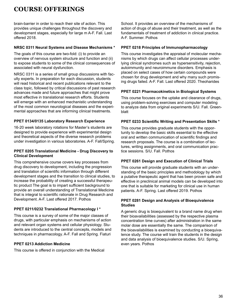brain-barrier in order to reach their site of action. This provides unique challenges throughout the discovery and development stages, especially for large m A-F. Fall. Last offered 2018.

#### **NRSC 0311 Neural Systems and Disease Mechanisms \***

The goals of this course are two-fold: (i) to provide an overview of nervous system structure and function and (ii) to expose students to some of the clinical consequences of associated with neural dysfunction.

NRSC 0311 is a series of small group discussions with faculty experts. In preparation for each discussion, students will read historical and recent publications relevant to the class topic, followed by critical discussions of past research advances made and future approaches that might prove most effective in translational research efforts. Students will emerge with an enhanced mechanistic understanding of the most common neurological diseases and the experimental approaches that are informing clinical treatments.

#### **PPET 0134/0135 Laboratory Research Experience**

16-20 week laboratory rotations for Master's students are designed to provide experience with experimental design and theoretical aspects of the diverse research problems under investigation in various laboratories. A-F. Fall/Spring.

#### **PPET 0205 Translational Medicine - Drug Discovery to Clinical Development**

This comprehensive course covers key processes from drug discovery to development, including the progression and translation of scientific information through different development stages and the transition to clinical studies, to increase the probability of creating a successful therapeutic product The goal is to impart sufficient background to provide an overall understanding of Translational Medicine that is integral to scientific rationale in Drug Research and Development. A-F. Last offered 2017. Pothos

#### **PPET 0211/0232 Translational Pharmacology I \***

This course is a survey of some of the major classes of drugs, with particular emphasis on mechanisms of action and relevant organ systems and cellular physiology. Students are introduced to the central concepts, models and techniques in pharmacology. A-F. Fall and Spring. Fiaturi

#### **PPET 0213 Addiction Medicine**

This course is offered in conjunction with the Medical

School. It provides an overview of the mechanisms of action of drugs of abuse and their treatment, as well as the fundamentals of treatment of addiction in clinical practice. A-F. Summer. Pothos

#### **PPET 0218 Principles of Immunopharmacology**

This course investigates the appraisal of molecular mechanisms by which drugs can affect cellular processes underlying clinical syndromes such as hypersensitivity, rejection, autoimmunity and neuroimmune disorders. Emphasis is placed on select cases of how certain compounds were chosen for drug development and why many such promising drugs failed. A-F. Fall. Last offered 2020. Theoharides

#### **PPET 0221 Pharmacokinetics in Biological Systems**

This course focuses on the uptake and clearance of drugs, using problem-solving exercises and computer modeling to analyze data from original experiments S/U. Fall. Greenblatt

#### **PPET 0233 Scientific Writing and Presentation Skills \***

This course provides graduate students with the opportunity to develop the basic skills essential to the effective oral and written communication of scientific findings and research proposals. The course is a combination of lectures, writing assignments, and oral communication practice sessions. S/U. Fall. Pothos

#### **PPET 0261 Design and Execution of Clinical Trials**

This course will provide graduate students with an understanding of the basic principles and methodology by which a putative therapeutic agent that has been proven safe and effective in preclinical animal models can be developed into one that is suitable for marketing for clinical use in human patients. A-F. Spring. Last offered 2019. Pothos

#### **PPET 0281 Design and Analysis of Bioequivalence Studies**

A generic drug is bioequivalent to a brand name drug when their bioavailabilities (assessed by the respective plasma concentration time curves) after administration in the same molar dose are essentially the same. The comparison of the bioavailabilities is examined by conducting a bioequivalence study. The course will train the students in the design and data analysis of bioequivalence studies. S/U. Spring, even years. Pothos